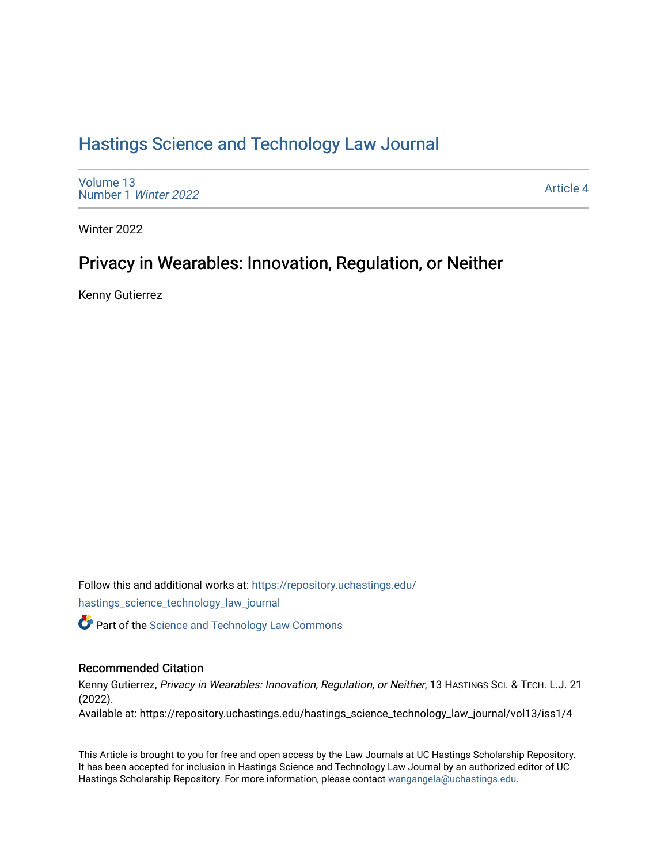# [Hastings Science and Technology Law Journal](https://repository.uchastings.edu/hastings_science_technology_law_journal)

[Volume 13](https://repository.uchastings.edu/hastings_science_technology_law_journal/vol13) [Number 1](https://repository.uchastings.edu/hastings_science_technology_law_journal/vol13/iss1) Winter 2022

[Article 4](https://repository.uchastings.edu/hastings_science_technology_law_journal/vol13/iss1/4) 

Winter 2022

## Privacy in Wearables: Innovation, Regulation, or Neither

Kenny Gutierrez

Follow this and additional works at: [https://repository.uchastings.edu/](https://repository.uchastings.edu/hastings_science_technology_law_journal?utm_source=repository.uchastings.edu%2Fhastings_science_technology_law_journal%2Fvol13%2Fiss1%2F4&utm_medium=PDF&utm_campaign=PDFCoverPages) [hastings\\_science\\_technology\\_law\\_journal](https://repository.uchastings.edu/hastings_science_technology_law_journal?utm_source=repository.uchastings.edu%2Fhastings_science_technology_law_journal%2Fvol13%2Fiss1%2F4&utm_medium=PDF&utm_campaign=PDFCoverPages) 

**Part of the [Science and Technology Law Commons](http://network.bepress.com/hgg/discipline/875?utm_source=repository.uchastings.edu%2Fhastings_science_technology_law_journal%2Fvol13%2Fiss1%2F4&utm_medium=PDF&utm_campaign=PDFCoverPages)** 

#### Recommended Citation

Kenny Gutierrez, Privacy in Wearables: Innovation, Regulation, or Neither, 13 HASTINGS SCI. & TECH. L.J. 21 (2022).

Available at: https://repository.uchastings.edu/hastings\_science\_technology\_law\_journal/vol13/iss1/4

This Article is brought to you for free and open access by the Law Journals at UC Hastings Scholarship Repository. It has been accepted for inclusion in Hastings Science and Technology Law Journal by an authorized editor of UC Hastings Scholarship Repository. For more information, please contact [wangangela@uchastings.edu.](mailto:wangangela@uchastings.edu)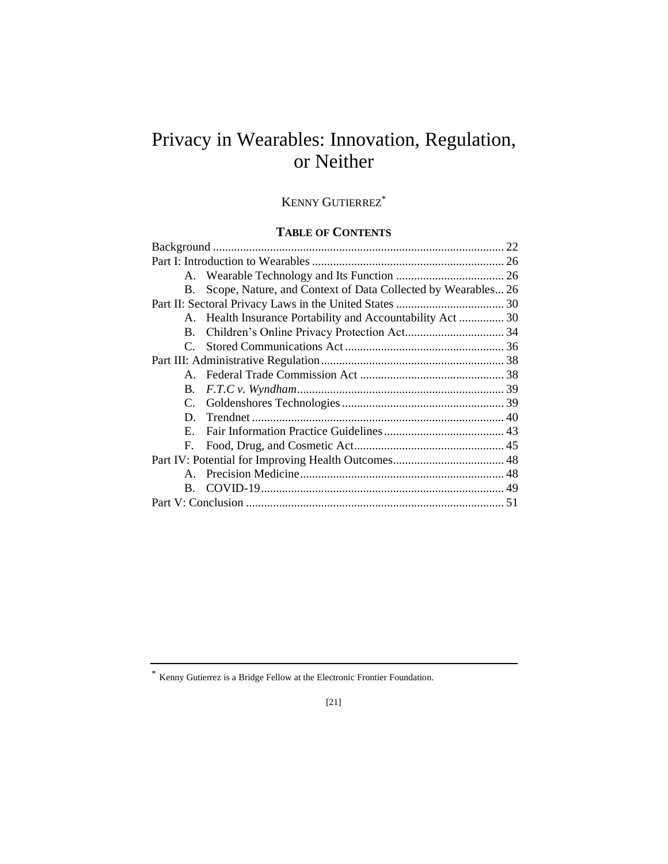# Privacy in Wearables: Innovation, Regulation, or Neither

## KENNY GUTIERREZ<sup>\*</sup>

### **TABLE OF CONTENTS**

| В.           | Scope, Nature, and Context of Data Collected by Wearables 26 |    |
|--------------|--------------------------------------------------------------|----|
|              |                                                              |    |
|              | A. Health Insurance Portability and Accountability Act  30   |    |
| B.           |                                                              |    |
| $\mathbf{C}$ |                                                              |    |
|              |                                                              |    |
|              |                                                              |    |
| B.           |                                                              |    |
|              |                                                              |    |
| D.           |                                                              |    |
| E.           |                                                              |    |
| F.           |                                                              |    |
|              |                                                              |    |
|              |                                                              |    |
| $B_{\cdot}$  |                                                              |    |
|              |                                                              | 51 |
|              |                                                              |    |

Kenny Gutierrez is a Bridge Fellow at the Electronic Frontier Foundation.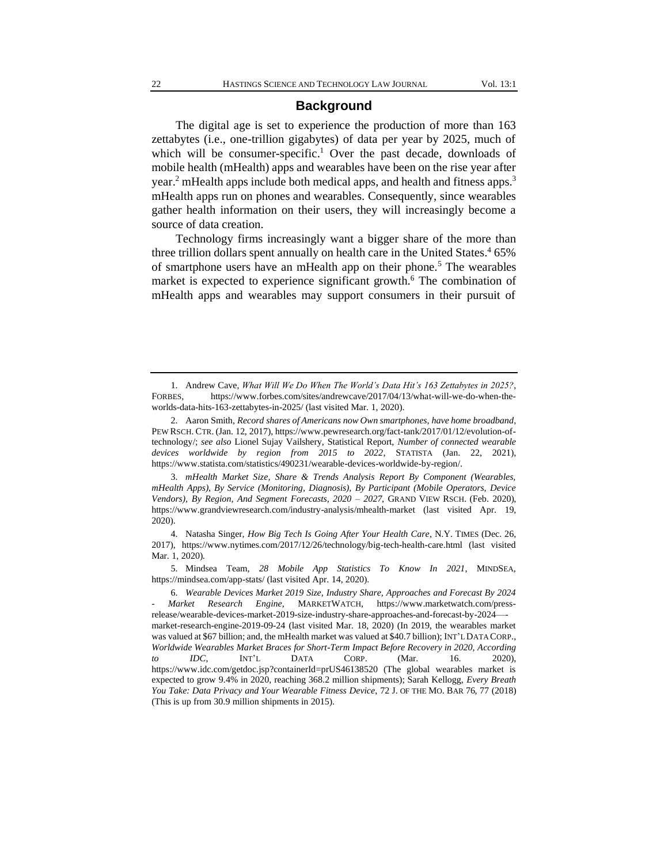#### **Background**

The digital age is set to experience the production of more than 163 zettabytes (i.e., one-trillion gigabytes) of data per year by 2025, much of which will be consumer-specific.<sup>1</sup> Over the past decade, downloads of mobile health (mHealth) apps and wearables have been on the rise year after year.<sup>2</sup> mHealth apps include both medical apps, and health and fitness apps.<sup>3</sup> mHealth apps run on phones and wearables. Consequently, since wearables gather health information on their users, they will increasingly become a source of data creation.

Technology firms increasingly want a bigger share of the more than three trillion dollars spent annually on health care in the United States. $465\%$ of smartphone users have an mHealth app on their phone.<sup>5</sup> The wearables market is expected to experience significant growth.<sup>6</sup> The combination of mHealth apps and wearables may support consumers in their pursuit of

5. Mindsea Team, *28 Mobile App Statistics To Know In 2021*, MINDSEA, https://mindsea.com/app-stats/ (last visited Apr. 14, 2020).

<sup>1.</sup> Andrew Cave, *What Will We Do When The World's Data Hit's 163 Zettabytes in 2025?*, FORBES, https://www.forbes.com/sites/andrewcave/2017/04/13/what-will-we-do-when-theworlds-data-hits-163-zettabytes-in-2025/ (last visited Mar. 1, 2020).

<sup>2.</sup> Aaron Smith, *Record shares of Americans now Own smartphones, have home broadband*, PEW RSCH. CTR. (Jan. 12, 2017), https://www.pewresearch.org/fact-tank/2017/01/12/evolution-oftechnology/; *see also* Lionel Sujay Vailshery, Statistical Report, *Number of connected wearable devices worldwide by region from 2015 to 2022*, STATISTA (Jan. 22, 2021), https://www.statista.com/statistics/490231/wearable-devices-worldwide-by-region/.

<sup>3.</sup> *mHealth Market Size, Share & Trends Analysis Report By Component (Wearables, mHealth Apps), By Service (Monitoring, Diagnosis), By Participant (Mobile Operators, Device Vendors), By Region, And Segment Forecasts, 2020 – 2027*, GRAND VIEW RSCH. (Feb. 2020), https://www.grandviewresearch.com/industry-analysis/mhealth-market (last visited Apr. 19, 2020).

<sup>4.</sup> Natasha Singer, *How Big Tech Is Going After Your Health Care*, N.Y. TIMES (Dec. 26, 2017), https://www.nytimes.com/2017/12/26/technology/big-tech-health-care.html (last visited Mar. 1, 2020).

<sup>6.</sup> *Wearable Devices Market 2019 Size, Industry Share, Approaches and Forecast By 2024 - Market Research Engine*, MARKETWATCH, https://www.marketwatch.com/pressrelease/wearable-devices-market-2019-size-industry-share-approaches-and-forecast-by-2024— market-research-engine-2019-09-24 (last visited Mar. 18, 2020) (In 2019, the wearables market was valued at \$67 billion; and, the mHealth market was valued at \$40.7 billion); INT'L DATA CORP., *Worldwide Wearables Market Braces for Short-Term Impact Before Recovery in 2020, According to IDC*, INT'L DATA CORP. (Mar. 16. 2020), https://www.idc.com/getdoc.jsp?containerId=prUS46138520 (The global wearables market is expected to grow 9.4% in 2020, reaching 368.2 million shipments); Sarah Kellogg, *Every Breath You Take: Data Privacy and Your Wearable Fitness Device*, 72 J. OF THE MO. BAR 76, 77 (2018) (This is up from 30.9 million shipments in 2015).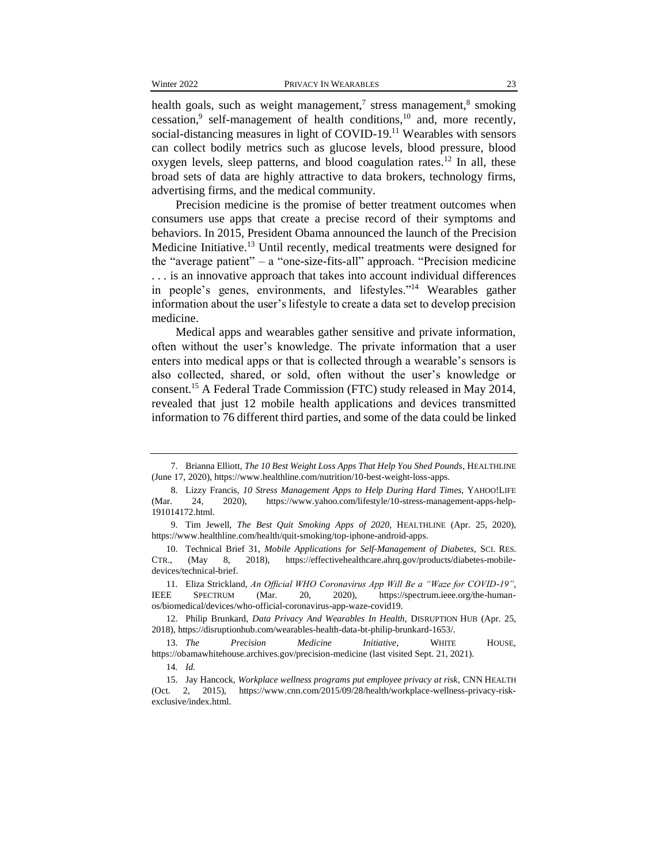health goals, such as weight management,<sup>7</sup> stress management,<sup>8</sup> smoking cessation,<sup>9</sup> self-management of health conditions,<sup>10</sup> and, more recently, social-distancing measures in light of COVID-19.<sup>11</sup> Wearables with sensors can collect bodily metrics such as glucose levels, blood pressure, blood oxygen levels, sleep patterns, and blood coagulation rates.<sup>12</sup> In all, these broad sets of data are highly attractive to data brokers, technology firms, advertising firms, and the medical community.

Precision medicine is the promise of better treatment outcomes when consumers use apps that create a precise record of their symptoms and behaviors. In 2015, President Obama announced the launch of the Precision Medicine Initiative.<sup>13</sup> Until recently, medical treatments were designed for the "average patient" – a "one-size-fits-all" approach. "Precision medicine . . . is an innovative approach that takes into account individual differences in people's genes, environments, and lifestyles."<sup>14</sup> Wearables gather information about the user's lifestyle to create a data set to develop precision medicine.

Medical apps and wearables gather sensitive and private information, often without the user's knowledge. The private information that a user enters into medical apps or that is collected through a wearable's sensors is also collected, shared, or sold, often without the user's knowledge or consent.<sup>15</sup> A Federal Trade Commission (FTC) study released in May 2014, revealed that just 12 mobile health applications and devices transmitted information to 76 different third parties, and some of the data could be linked

<sup>7.</sup> Brianna Elliott, *The 10 Best Weight Loss Apps That Help You Shed Pounds*, HEALTHLINE (June 17, 2020), https://www.healthline.com/nutrition/10-best-weight-loss-apps.

<sup>8.</sup> Lizzy Francis, *10 Stress Management Apps to Help During Hard Times*, YAHOO!LIFE (Mar. 24, 2020), https://www.yahoo.com/lifestyle/10-stress-management-apps-help-191014172.html.

<sup>9.</sup> Tim Jewell, *The Best Quit Smoking Apps of 2020*, HEALTHLINE (Apr. 25, 2020), https://www.healthline.com/health/quit-smoking/top-iphone-android-apps.

<sup>10.</sup> Technical Brief 31, *Mobile Applications for Self-Management of Diabetes*, SCI. RES. CTR., (May 8, 2018), https://effectivehealthcare.ahrq.gov/products/diabetes-mobiledevices/technical-brief.

<sup>11.</sup> Eliza Strickland, *An Official WHO Coronavirus App Will Be a "Waze for COVID-19"*, IEEE SPECTRUM (Mar. 20, 2020), https://spectrum.ieee.org/the-humanos/biomedical/devices/who-official-coronavirus-app-waze-covid19.

<sup>12.</sup> Philip Brunkard, *Data Privacy And Wearables In Health*, DISRUPTION HUB (Apr. 25, 2018), https://disruptionhub.com/wearables-health-data-bt-philip-brunkard-1653/.

<sup>13.</sup> *The Precision Medicine Initiative*, WHITE HOUSE, https://obamawhitehouse.archives.gov/precision-medicine (last visited Sept. 21, 2021).

<sup>14</sup>*. Id.*

<sup>15.</sup> Jay Hancock, *Workplace wellness programs put employee privacy at risk*, CNN HEALTH (Oct. 2, 2015), https://www.cnn.com/2015/09/28/health/workplace-wellness-privacy-riskexclusive/index.html.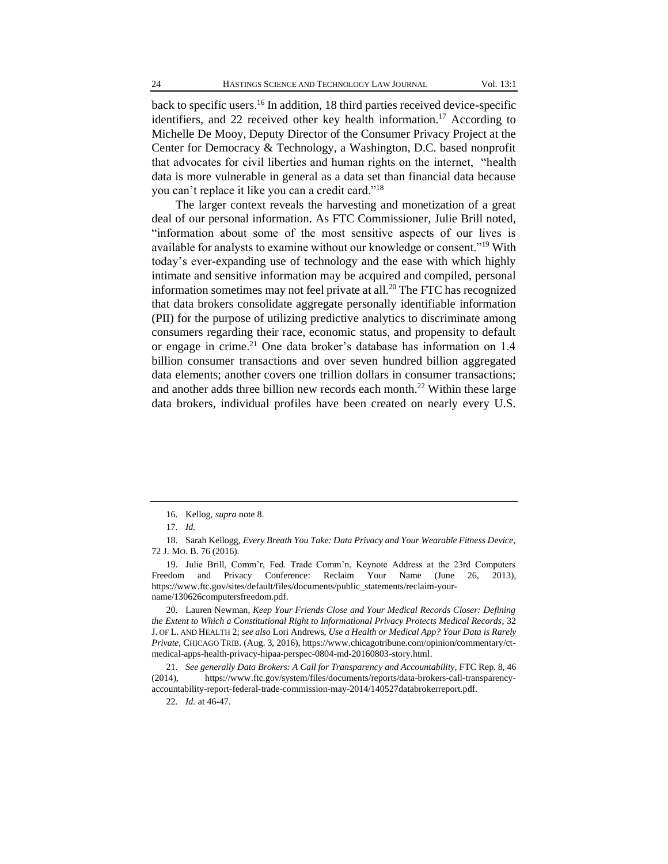back to specific users.<sup>16</sup> In addition, 18 third parties received device-specific identifiers, and 22 received other key health information.<sup>17</sup> According to Michelle De Mooy, Deputy Director of the Consumer Privacy Project at the Center for Democracy & Technology, a Washington, D.C. based nonprofit that advocates for civil liberties and human rights on the internet, "health data is more vulnerable in general as a data set than financial data because you can't replace it like you can a credit card."<sup>18</sup>

The larger context reveals the harvesting and monetization of a great deal of our personal information. As FTC Commissioner, Julie Brill noted, "information about some of the most sensitive aspects of our lives is available for analysts to examine without our knowledge or consent."<sup>19</sup> With today's ever-expanding use of technology and the ease with which highly intimate and sensitive information may be acquired and compiled, personal information sometimes may not feel private at all.<sup>20</sup> The FTC has recognized that data brokers consolidate aggregate personally identifiable information (PII) for the purpose of utilizing predictive analytics to discriminate among consumers regarding their race, economic status, and propensity to default or engage in crime.<sup>21</sup> One data broker's database has information on 1.4 billion consumer transactions and over seven hundred billion aggregated data elements; another covers one trillion dollars in consumer transactions; and another adds three billion new records each month.<sup>22</sup> Within these large data brokers, individual profiles have been created on nearly every U.S.

20. Lauren Newman, *Keep Your Friends Close and Your Medical Records Closer: Defining the Extent to Which a Constitutional Right to Informational Privacy Protects Medical Records*, 32 J. OF L. AND HEALTH 2; *see also* Lori Andrews, *Use a Health or Medical App? Your Data is Rarely Private*, CHICAGO TRIB. (Aug. 3, 2016)[, https://www.](https://www/)chicagotribune.com/opinion/commentary/ctmedical-apps-health-privacy-hipaa-perspec-0804-md-20160803-story.html.

<sup>16.</sup> Kellog, *supra* note 8.

<sup>17</sup>*. Id.*

<sup>18.</sup> Sarah Kellogg, *Every Breath You Take: Data Privacy and Your Wearable Fitness Device*, 72 J. MO. B. 76 (2016).

<sup>19.</sup> Julie Brill, Comm'r, Fed. Trade Comm'n, Keynote Address at the 23rd Computers Freedom and Privacy Conference: Reclaim Your Name (June 26, 2013), https://www.ftc.gov/sites/default/files/documents/public\_statements/reclaim-yourname/130626computersfreedom.pdf.

<sup>21</sup>*. See generally Data Brokers: A Call for Transparency and Accountability*, FTC Rep. 8, 46 (2014), [https://www.](https://www/)ftc.gov/system/files/documents/reports/data-brokers-call-transparencyaccountability-report-federal-trade-commission-may-2014/140527databrokerreport.pdf.

<sup>22</sup>*. Id.* at 46-47.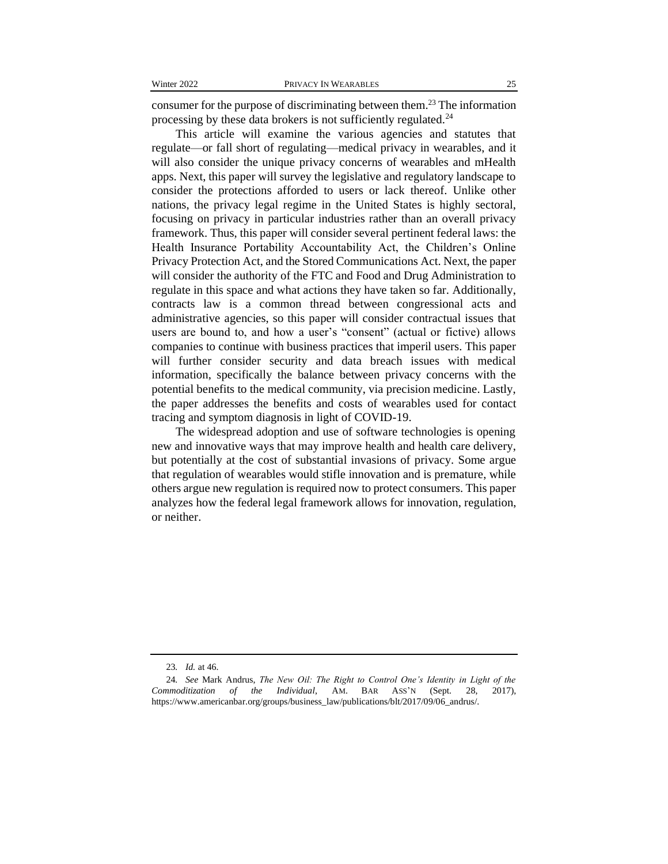consumer for the purpose of discriminating between them.<sup>23</sup> The information processing by these data brokers is not sufficiently regulated.<sup>24</sup>

This article will examine the various agencies and statutes that regulate—or fall short of regulating—medical privacy in wearables, and it will also consider the unique privacy concerns of wearables and mHealth apps. Next, this paper will survey the legislative and regulatory landscape to consider the protections afforded to users or lack thereof. Unlike other nations, the privacy legal regime in the United States is highly sectoral, focusing on privacy in particular industries rather than an overall privacy framework. Thus, this paper will consider several pertinent federal laws: the Health Insurance Portability Accountability Act, the Children's Online Privacy Protection Act, and the Stored Communications Act. Next, the paper will consider the authority of the FTC and Food and Drug Administration to regulate in this space and what actions they have taken so far. Additionally, contracts law is a common thread between congressional acts and administrative agencies, so this paper will consider contractual issues that users are bound to, and how a user's "consent" (actual or fictive) allows companies to continue with business practices that imperil users. This paper will further consider security and data breach issues with medical information, specifically the balance between privacy concerns with the potential benefits to the medical community, via precision medicine. Lastly, the paper addresses the benefits and costs of wearables used for contact tracing and symptom diagnosis in light of COVID-19.

The widespread adoption and use of software technologies is opening new and innovative ways that may improve health and health care delivery, but potentially at the cost of substantial invasions of privacy. Some argue that regulation of wearables would stifle innovation and is premature, while others argue new regulation is required now to protect consumers. This paper analyzes how the federal legal framework allows for innovation, regulation, or neither.

<sup>23</sup>*. Id.* at 46.

<sup>24</sup>*. See* Mark Andrus, *The New Oil: The Right to Control One's Identity in Light of the Commoditization of the Individual*, AM. BAR ASS'N (Sept. 28, 2017), https://www.americanbar.org/groups/business\_law/publications/blt/2017/09/06\_andrus/.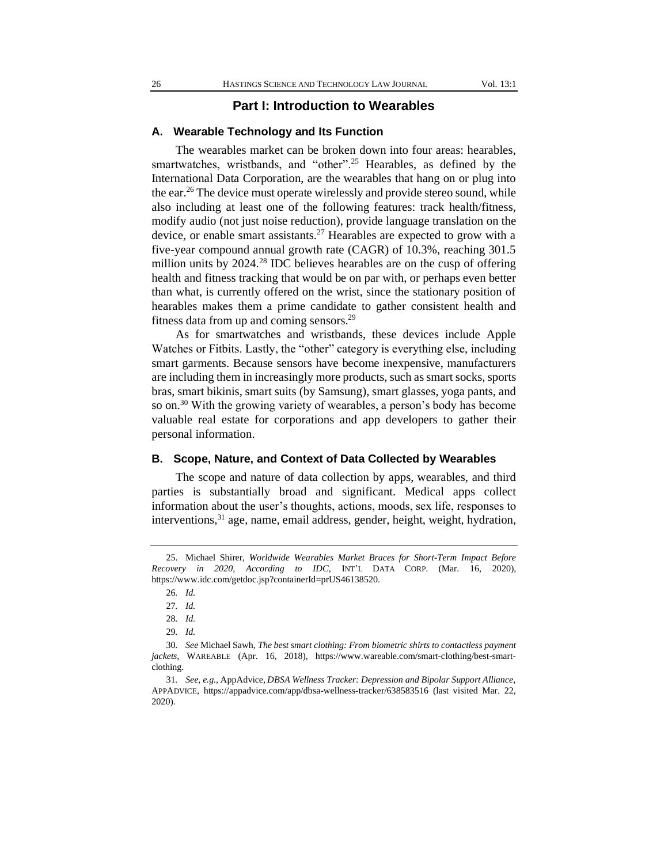#### **Part I: Introduction to Wearables**

#### **A. Wearable Technology and Its Function**

The wearables market can be broken down into four areas: hearables, smartwatches, wristbands, and "other".<sup>25</sup> Hearables, as defined by the International Data Corporation, are the wearables that hang on or plug into the ear.<sup>26</sup> The device must operate wirelessly and provide stereo sound, while also including at least one of the following features: track health/fitness, modify audio (not just noise reduction), provide language translation on the device, or enable smart assistants.<sup>27</sup> Hearables are expected to grow with a five-year compound annual growth rate (CAGR) of 10.3%, reaching 301.5 million units by 2024.<sup>28</sup> IDC believes hearables are on the cusp of offering health and fitness tracking that would be on par with, or perhaps even better than what, is currently offered on the wrist, since the stationary position of hearables makes them a prime candidate to gather consistent health and fitness data from up and coming sensors.<sup>29</sup>

As for smartwatches and wristbands, these devices include Apple Watches or Fitbits. Lastly, the "other" category is everything else, including smart garments. Because sensors have become inexpensive, manufacturers are including them in increasingly more products, such as smart socks, sports bras, smart bikinis, smart suits (by Samsung), smart glasses, yoga pants, and so on.<sup>30</sup> With the growing variety of wearables, a person's body has become valuable real estate for corporations and app developers to gather their personal information.

#### **B. Scope, Nature, and Context of Data Collected by Wearables**

The scope and nature of data collection by apps, wearables, and third parties is substantially broad and significant. Medical apps collect information about the user's thoughts, actions, moods, sex life, responses to interventions,<sup>31</sup> age, name, email address, gender, height, weight, hydration,

<sup>25.</sup> Michael Shirer, *Worldwide Wearables Market Braces for Short-Term Impact Before Recovery in 2020, According to IDC*, INT'L DATA CORP. (Mar. 16, 2020), https://www.idc.com/getdoc.jsp?containerId=prUS46138520.

<sup>26</sup>*. Id.*

<sup>27</sup>*. Id.*

<sup>28</sup>*. Id.*

<sup>29</sup>*. Id.*

<sup>30</sup>*. See* Michael Sawh, *The best smart clothing: From biometric shirts to contactless payment jackets*, WAREABLE (Apr. 16, 2018), https://www.wareable.com/smart-clothing/best-smartclothing.

<sup>31</sup>*. See*, *e.g.,* AppAdvice, *DBSA Wellness Tracker: Depression and Bipolar Support Alliance*, APPADVICE, https://appadvice.com/app/dbsa-wellness-tracker/638583516 (last visited Mar. 22, 2020).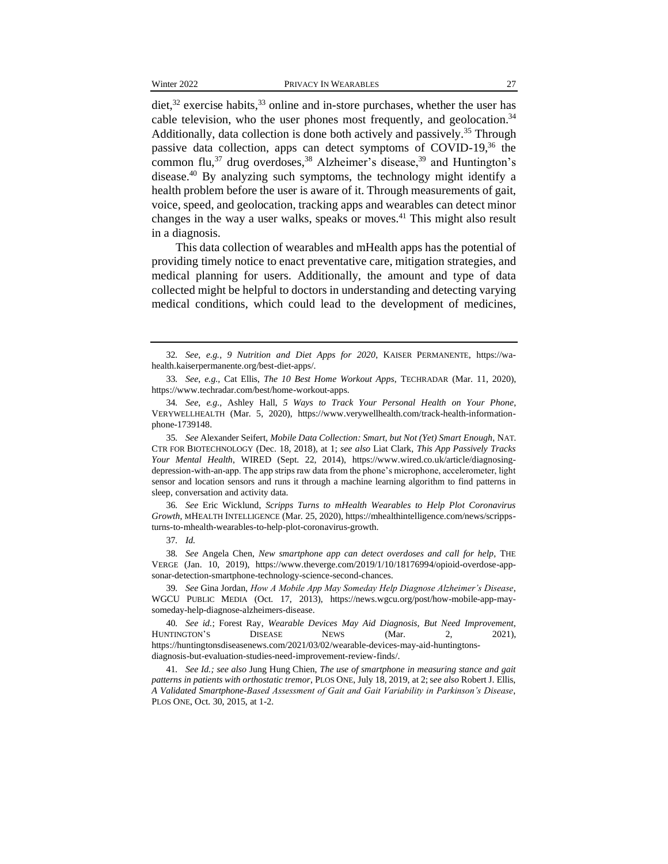diet, $32$  exercise habits, $33$  online and in-store purchases, whether the user has cable television, who the user phones most frequently, and geolocation.<sup>34</sup> Additionally, data collection is done both actively and passively.<sup>35</sup> Through passive data collection, apps can detect symptoms of COVID-19,<sup>36</sup> the common flu,<sup>37</sup> drug overdoses,<sup>38</sup> Alzheimer's disease,<sup>39</sup> and Huntington's disease.<sup>40</sup> By analyzing such symptoms, the technology might identify a health problem before the user is aware of it. Through measurements of gait, voice, speed, and geolocation, tracking apps and wearables can detect minor changes in the way a user walks, speaks or moves.<sup>41</sup> This might also result in a diagnosis.

This data collection of wearables and mHealth apps has the potential of providing timely notice to enact preventative care, mitigation strategies, and medical planning for users. Additionally, the amount and type of data collected might be helpful to doctors in understanding and detecting varying medical conditions, which could lead to the development of medicines,

36*. See* Eric Wicklund, *Scripps Turns to mHealth Wearables to Help Plot Coronavirus Growth*, MHEALTH INTELLIGENCE (Mar. 25, 2020), https://mhealthintelligence.com/news/scrippsturns-to-mhealth-wearables-to-help-plot-coronavirus-growth.

37*. Id.* 

38*. See* Angela Chen, *New smartphone app can detect overdoses and call for help*, THE VERGE (Jan. 10, 2019), [https://www.theverge.com/2019/1/10/18176994/opioid-overdose-app](https://www.theverge.com/2019/1/10/18176994/opioid-overdose-app-sonar-detection-smartphone-technology-science-second-chances)[sonar-detection-smartphone-technology-science-second-chances.](https://www.theverge.com/2019/1/10/18176994/opioid-overdose-app-sonar-detection-smartphone-technology-science-second-chances)

39*. See* Gina Jordan, *How A Mobile App May Someday Help Diagnose Alzheimer's Disease*, WGCU PUBLIC MEDIA (Oct. 17, 2013), [https://news.wgcu.org/post/how-mobile-app-may](https://news.wgcu.org/post/how-mobile-app-may-someday-help-diagnose-alzheimers-disease)[someday-help-diagnose-alzheimers-disease.](https://news.wgcu.org/post/how-mobile-app-may-someday-help-diagnose-alzheimers-disease)

40*. See id.*; Forest Ray, *Wearable Devices May Aid Diagnosis, But Need Improvement*, HUNTINGTON'S DISEASE NEWS (Mar. 2, 2021), [https://huntingtonsdiseasenews.com/2021/03/02/wearable-devices-may-aid-huntingtons](https://huntingtonsdiseasenews.com/2021/03/02/wearable-devices-may-aid-huntingtons-diagnosis-but-evaluation-studies-need-improvement-review-finds/)[diagnosis-but-evaluation-studies-need-improvement-review-finds/.](https://huntingtonsdiseasenews.com/2021/03/02/wearable-devices-may-aid-huntingtons-diagnosis-but-evaluation-studies-need-improvement-review-finds/) 

41*. See Id.; see also* Jung Hung Chien, *The use of smartphone in measuring stance and gait patterns in patients with orthostatic tremor*, PLOS ONE, July 18, 2019, at 2; s*ee also* Robert J. Ellis, *A Validated Smartphone-Based Assessment of Gait and Gait Variability in Parkinson's Disease*, PLOS ONE, Oct. 30, 2015, at 1-2.

<sup>32</sup>*. See*, *e.g., 9 Nutrition and Diet Apps for 2020*, KAISER PERMANENTE, https://wahealth.kaiserpermanente.org/best-diet-apps/.

<sup>33</sup>*. See*, *e.g.,* Cat Ellis, *The 10 Best Home Workout Apps*, TECHRADAR (Mar. 11, 2020), https://www.techradar.com/best/home-workout-apps.

<sup>34</sup>*. See*, *e.g.,* Ashley Hall, *5 Ways to Track Your Personal Health on Your Phone*, VERYWELLHEALTH (Mar. 5, 2020), [https://www.verywellhealth.com/track-health-information](https://www.verywellhealth.com/track-health-information-phone-1739148)[phone-1739148.](https://www.verywellhealth.com/track-health-information-phone-1739148)

<sup>35</sup>*. See* Alexander Seifert, *Mobile Data Collection: Smart, but Not (Yet) Smart Enough*, NAT. CTR FOR BIOTECHNOLOGY (Dec. 18, 2018), at 1; *see also* Liat Clark, *This App Passively Tracks Your Mental Health*, WIRED (Sept. 22, 2014), https://www.wired.co.uk/article/diagnosingdepression-with-an-app. The app strips raw data from the phone's microphone, accelerometer, light sensor and location sensors and runs it through a machine learning algorithm to find patterns in sleep, conversation and activity data.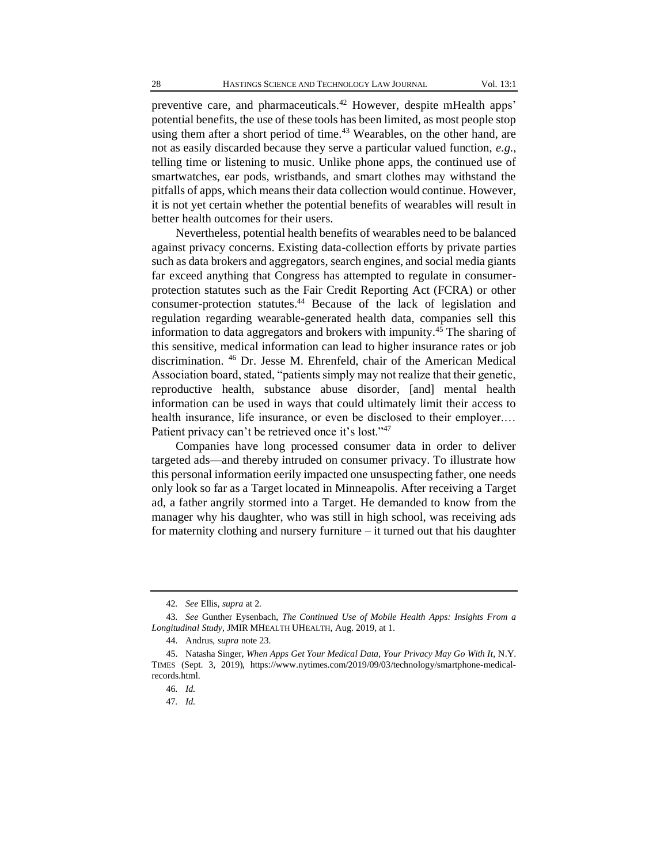preventive care, and pharmaceuticals.<sup>42</sup> However, despite mHealth apps' potential benefits, the use of these tools has been limited, as most people stop using them after a short period of time.<sup>43</sup> Wearables, on the other hand, are not as easily discarded because they serve a particular valued function, *e.g.*, telling time or listening to music. Unlike phone apps, the continued use of smartwatches, ear pods, wristbands, and smart clothes may withstand the pitfalls of apps, which means their data collection would continue. However, it is not yet certain whether the potential benefits of wearables will result in better health outcomes for their users.

Nevertheless, potential health benefits of wearables need to be balanced against privacy concerns. Existing data-collection efforts by private parties such as data brokers and aggregators, search engines, and social media giants far exceed anything that Congress has attempted to regulate in consumerprotection statutes such as the Fair Credit Reporting Act (FCRA) or other consumer-protection statutes.<sup>44</sup> Because of the lack of legislation and regulation regarding wearable-generated health data, companies sell this information to data aggregators and brokers with impunity.<sup>45</sup> The sharing of this sensitive, medical information can lead to higher insurance rates or job discrimination. <sup>46</sup> Dr. Jesse M. Ehrenfeld, chair of the American Medical Association board, stated, "patients simply may not realize that their genetic, reproductive health, substance abuse disorder, [and] mental health information can be used in ways that could ultimately limit their access to health insurance, life insurance, or even be disclosed to their employer.... Patient privacy can't be retrieved once it's lost."<sup>47</sup>

Companies have long processed consumer data in order to deliver targeted ads—and thereby intruded on consumer privacy. To illustrate how this personal information eerily impacted one unsuspecting father, one needs only look so far as a Target located in Minneapolis. After receiving a Target ad, a father angrily stormed into a Target. He demanded to know from the manager why his daughter, who was still in high school, was receiving ads for maternity clothing and nursery furniture – it turned out that his daughter

<sup>42</sup>*. See* Ellis, *supra* at 2*.*

<sup>43</sup>*. See* Gunther Eysenbach, *The Continued Use of Mobile Health Apps: Insights From a Longitudinal Study*, JMIR MHEALTH UHEALTH, Aug. 2019, at 1.

<sup>44.</sup> Andrus, *supra* note 23.

<sup>45.</sup> Natasha Singer, *When Apps Get Your Medical Data, Your Privacy May Go With It*, N.Y. TIMES (Sept. 3, 2019), https://www.nytimes.com/2019/09/03/technology/smartphone-medicalrecords.html.

<sup>46</sup>*. Id.*

<sup>47</sup>*. Id.*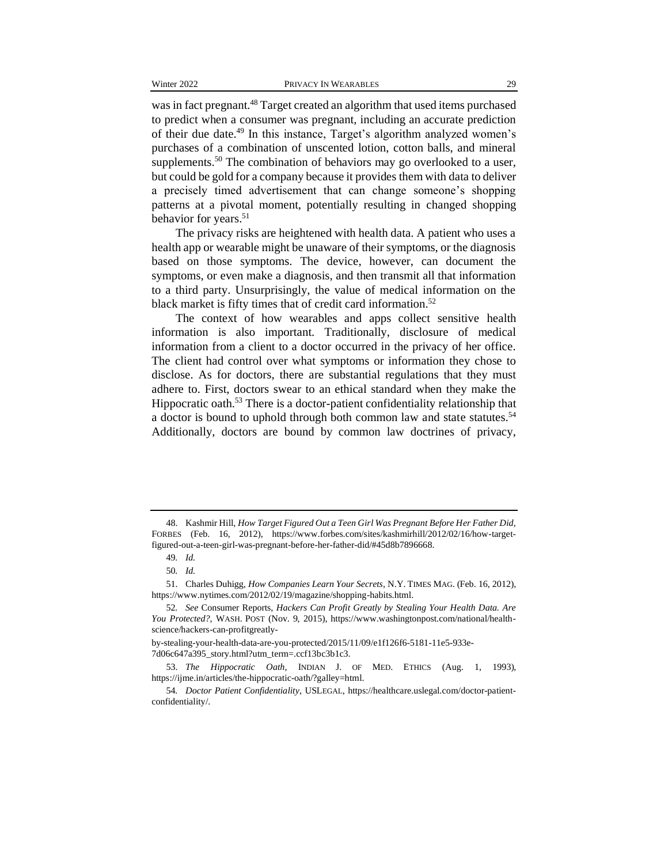was in fact pregnant.<sup>48</sup> Target created an algorithm that used items purchased to predict when a consumer was pregnant, including an accurate prediction of their due date.<sup>49</sup> In this instance, Target's algorithm analyzed women's purchases of a combination of unscented lotion, cotton balls, and mineral supplements.<sup>50</sup> The combination of behaviors may go overlooked to a user, but could be gold for a company because it provides them with data to deliver a precisely timed advertisement that can change someone's shopping patterns at a pivotal moment, potentially resulting in changed shopping behavior for years.<sup>51</sup>

The privacy risks are heightened with health data. A patient who uses a health app or wearable might be unaware of their symptoms, or the diagnosis based on those symptoms. The device, however, can document the symptoms, or even make a diagnosis, and then transmit all that information to a third party. Unsurprisingly, the value of medical information on the black market is fifty times that of credit card information.<sup>52</sup>

The context of how wearables and apps collect sensitive health information is also important. Traditionally, disclosure of medical information from a client to a doctor occurred in the privacy of her office. The client had control over what symptoms or information they chose to disclose. As for doctors, there are substantial regulations that they must adhere to. First, doctors swear to an ethical standard when they make the Hippocratic oath.<sup>53</sup> There is a doctor-patient confidentiality relationship that a doctor is bound to uphold through both common law and state statutes.<sup>54</sup> Additionally, doctors are bound by common law doctrines of privacy,

by-stealing-your-health-data-are-you-protected/2015/11/09/e1f126f6-5181-11e5-933e-

7d06c647a395\_story.html?utm\_term=.ccf13bc3b1c3.

<sup>48.</sup> Kashmir Hill, *How Target Figured Out a Teen Girl Was Pregnant Before Her Father Did*, FORBES (Feb. 16, 2012), https://www.forbes.com/sites/kashmirhill/2012/02/16/how-targetfigured-out-a-teen-girl-was-pregnant-before-her-father-did/#45d8b7896668.

<sup>49</sup>*. Id.*

<sup>50</sup>*. Id.* 

<sup>51.</sup> Charles Duhigg, *How Companies Learn Your Secrets*, N.Y. TIMES MAG. (Feb. 16, 2012), https://www.nytimes.com/2012/02/19/magazine/shopping-habits.html.

<sup>52</sup>*. See* Consumer Reports, *Hackers Can Profit Greatly by Stealing Your Health Data. Are You Protected?*, WASH. POST (Nov. 9, 2015), https://www.washingtonpost.com/national/healthscience/hackers-can-profitgreatly-

<sup>53.</sup> *The Hippocratic Oath*, INDIAN J. OF MED. ETHICS (Aug. 1, 1993), https://ijme.in/articles/the-hippocratic-oath/?galley=html.

<sup>54</sup>*. Doctor Patient Confidentiality*, USLEGAL, https://healthcare.uslegal.com/doctor-patientconfidentiality/.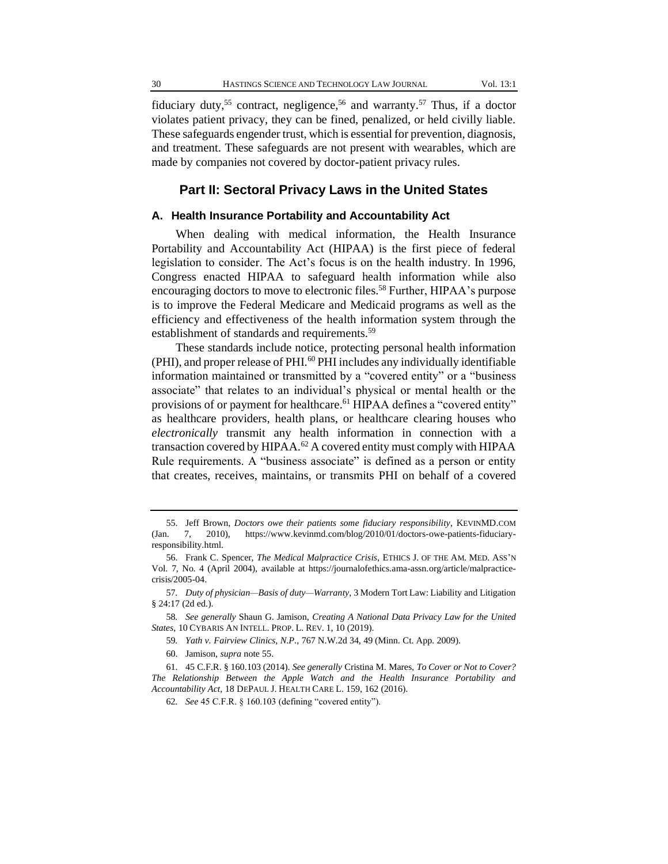fiduciary duty,<sup>55</sup> contract, negligence,<sup>56</sup> and warranty.<sup>57</sup> Thus, if a doctor violates patient privacy, they can be fined, penalized, or held civilly liable. These safeguards engender trust, which is essential for prevention, diagnosis, and treatment. These safeguards are not present with wearables, which are made by companies not covered by doctor-patient privacy rules.

#### **Part II: Sectoral Privacy Laws in the United States**

#### **A. Health Insurance Portability and Accountability Act**

When dealing with medical information, the Health Insurance Portability and Accountability Act (HIPAA) is the first piece of federal legislation to consider. The Act's focus is on the health industry. In 1996, Congress enacted HIPAA to safeguard health information while also encouraging doctors to move to electronic files.<sup>58</sup> Further, HIPAA's purpose is to improve the Federal Medicare and Medicaid programs as well as the efficiency and effectiveness of the health information system through the establishment of standards and requirements.<sup>59</sup>

These standards include notice, protecting personal health information (PHI), and proper release of PHI.<sup>60</sup> PHI includes any individually identifiable information maintained or transmitted by a "covered entity" or a "business associate" that relates to an individual's physical or mental health or the provisions of or payment for healthcare.<sup>61</sup> HIPAA defines a "covered entity" as healthcare providers, health plans, or healthcare clearing houses who *electronically* transmit any health information in connection with a transaction covered by HIPAA.<sup>62</sup> A covered entity must comply with HIPAA Rule requirements. A "business associate" is defined as a person or entity that creates, receives, maintains, or transmits PHI on behalf of a covered

<sup>55.</sup> Jeff Brown, *Doctors owe their patients some fiduciary responsibility*, KEVINMD.COM (Jan. 7, 2010), https://www.kevinmd.com/blog/2010/01/doctors-owe-patients-fiduciaryresponsibility.html.

<sup>56.</sup> Frank C. Spencer, *The Medical Malpractice Crisis*, ETHICS J. OF THE AM. MED. ASS'N Vol. 7, No. 4 (April 2004), available at https://journalofethics.ama-assn.org/article/malpracticecrisis/2005-04.

<sup>57</sup>*. Duty of physician—Basis of duty—Warranty*, 3 Modern Tort Law: Liability and Litigation § 24:17 (2d ed.).

<sup>58</sup>*. See generally* Shaun G. Jamison, *Creating A National Data Privacy Law for the United States*, 10 CYBARIS AN INTELL. PROP. L. REV. 1, 10 (2019).

<sup>59</sup>*. Yath v. Fairview Clinics, N.P.*, 767 N.W.2d 34, 49 (Minn. Ct. App. 2009).

<sup>60.</sup> Jamison, *supra* note 55.

<sup>61.</sup> 45 C.F.R. § 160.103 (2014). *See generally* Cristina M. Mares, *To Cover or Not to Cover? The Relationship Between the Apple Watch and the Health Insurance Portability and Accountability Act*, 18 DEPAUL J. HEALTH CARE L. 159, 162 (2016).

<sup>62</sup>*. See* 45 C.F.R. § 160.103 (defining "covered entity").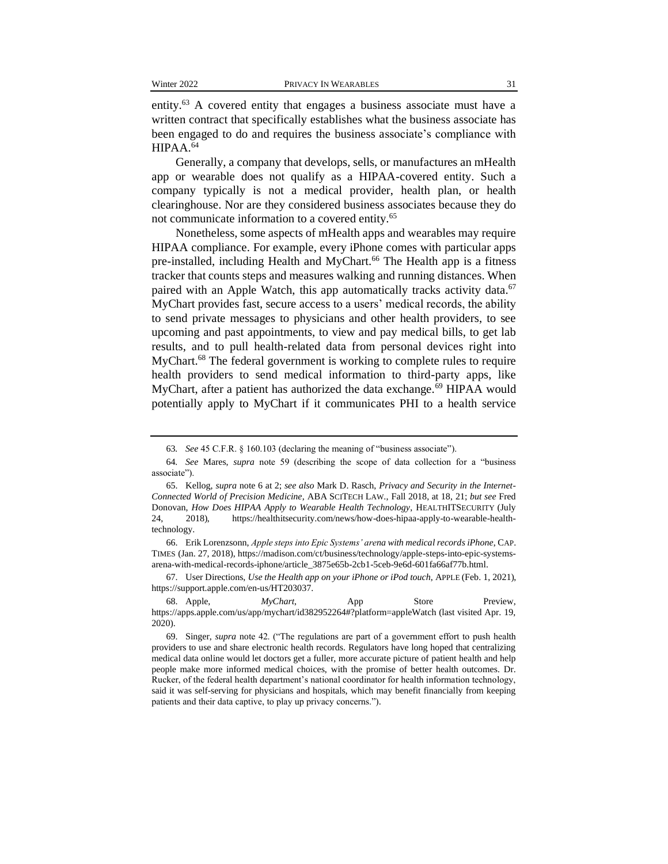entity.<sup>63</sup> A covered entity that engages a business associate must have a written contract that specifically establishes what the business associate has been engaged to do and requires the business associate's compliance with HIPAA.<sup>64</sup>

Generally, a company that develops, sells, or manufactures an mHealth app or wearable does not qualify as a HIPAA-covered entity. Such a company typically is not a medical provider, health plan, or health clearinghouse. Nor are they considered business associates because they do not communicate information to a covered entity.<sup>65</sup>

Nonetheless, some aspects of mHealth apps and wearables may require HIPAA compliance. For example, every iPhone comes with particular apps pre-installed, including Health and MyChart.<sup>66</sup> The Health app is a fitness tracker that counts steps and measures walking and running distances. When paired with an Apple Watch, this app automatically tracks activity data.<sup>67</sup> MyChart provides fast, secure access to a users' medical records, the ability to send private messages to physicians and other health providers, to see upcoming and past appointments, to view and pay medical bills, to get lab results, and to pull health-related data from personal devices right into MyChart.<sup>68</sup> The federal government is working to complete rules to require health providers to send medical information to third-party apps, like MyChart, after a patient has authorized the data exchange.<sup>69</sup> HIPAA would potentially apply to MyChart if it communicates PHI to a health service

67. User Directions, *Use the Health app on your iPhone or iPod touch*, APPLE (Feb. 1, 2021), https://support.apple.com/en-us/HT203037.

<sup>63</sup>*. See* 45 C.F.R. § 160.103 (declaring the meaning of "business associate").

<sup>64</sup>*. See* Mares, *supra* note 59 (describing the scope of data collection for a "business associate").

<sup>65.</sup> Kellog, *supra* note 6 at 2; *see also* Mark D. Rasch, *Privacy and Security in the Internet-Connected World of Precision Medicine*, ABA SCITECH LAW., Fall 2018, at 18, 21; *but see* Fred Donovan, *How Does HIPAA Apply to Wearable Health Technology*, HEALTHITSECURITY (July 24, 2018), https://healthitsecurity.com/news/how-does-hipaa-apply-to-wearable-healthtechnology.

<sup>66.</sup> Erik Lorenzsonn, *Apple steps into Epic Systems' arena with medical records iPhone*, CAP. TIMES (Jan. 27, 2018), https://madison.com/ct/business/technology/apple-steps-into-epic-systemsarena-with-medical-records-iphone/article\_3875e65b-2cb1-5ceb-9e6d-601fa66af77b.html.

<sup>68.</sup> Apple, *MyChart*, App Store Preview, https://apps.apple.com/us/app/mychart/id382952264#?platform=appleWatch (last visited Apr. 19, 2020).

<sup>69.</sup> Singer, *supra* note 42. ("The regulations are part of a government effort to push health providers to use and share electronic health records. Regulators have long hoped that centralizing medical data online would let doctors get a fuller, more accurate picture of patient health and help people make more informed medical choices, with the promise of better health outcomes. Dr. Rucker, of the federal health department's national coordinator for health information technology, said it was self-serving for physicians and hospitals, which may benefit financially from keeping patients and their data captive, to play up privacy concerns.").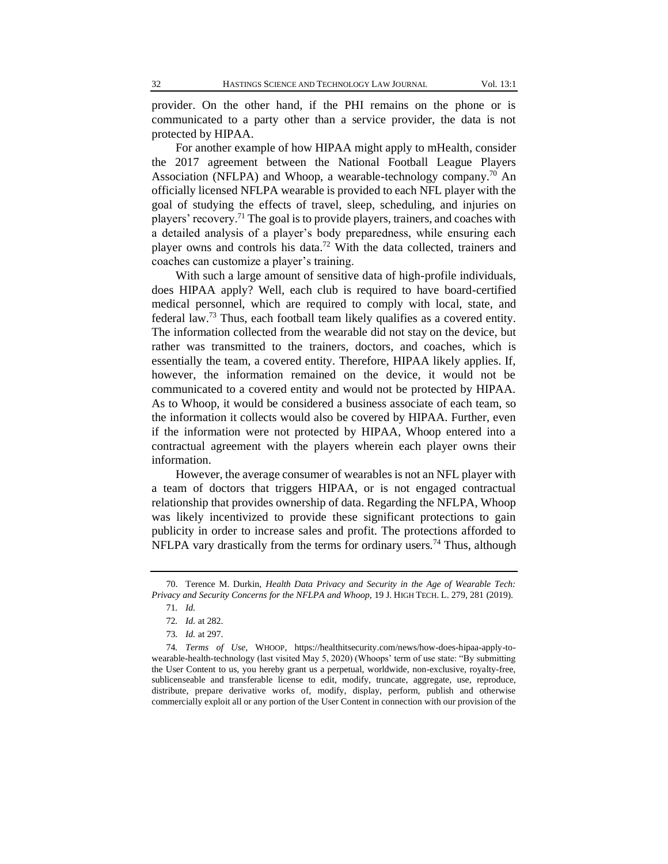provider. On the other hand, if the PHI remains on the phone or is communicated to a party other than a service provider, the data is not protected by HIPAA.

For another example of how HIPAA might apply to mHealth, consider the 2017 agreement between the National Football League Players Association (NFLPA) and Whoop, a wearable-technology company.<sup>70</sup> An officially licensed NFLPA wearable is provided to each NFL player with the goal of studying the effects of travel, sleep, scheduling, and injuries on players' recovery.<sup>71</sup> The goal is to provide players, trainers, and coaches with a detailed analysis of a player's body preparedness, while ensuring each player owns and controls his data.<sup>72</sup> With the data collected, trainers and coaches can customize a player's training.

With such a large amount of sensitive data of high-profile individuals, does HIPAA apply? Well, each club is required to have board-certified medical personnel, which are required to comply with local, state, and federal law.<sup>73</sup> Thus, each football team likely qualifies as a covered entity. The information collected from the wearable did not stay on the device, but rather was transmitted to the trainers, doctors, and coaches, which is essentially the team, a covered entity. Therefore, HIPAA likely applies. If, however, the information remained on the device, it would not be communicated to a covered entity and would not be protected by HIPAA. As to Whoop, it would be considered a business associate of each team, so the information it collects would also be covered by HIPAA. Further, even if the information were not protected by HIPAA, Whoop entered into a contractual agreement with the players wherein each player owns their information.

However, the average consumer of wearables is not an NFL player with a team of doctors that triggers HIPAA, or is not engaged contractual relationship that provides ownership of data. Regarding the NFLPA, Whoop was likely incentivized to provide these significant protections to gain publicity in order to increase sales and profit. The protections afforded to NFLPA vary drastically from the terms for ordinary users.<sup>74</sup> Thus, although

<sup>70.</sup> Terence M. Durkin, *Health Data Privacy and Security in the Age of Wearable Tech: Privacy and Security Concerns for the NFLPA and Whoop*, 19 J. HIGH TECH. L. 279, 281 (2019).

<sup>71</sup>*. Id.*

<sup>72</sup>*. Id.* at 282.

<sup>73</sup>*. Id.* at 297.

<sup>74</sup>*. Terms of Use*, WHOOP, https://healthitsecurity.com/news/how-does-hipaa-apply-towearable-health-technology (last visited May 5, 2020) (Whoops' term of use state: "By submitting the User Content to us, you hereby grant us a perpetual, worldwide, non-exclusive, royalty-free, sublicenseable and transferable license to edit, modify, truncate, aggregate, use, reproduce, distribute, prepare derivative works of, modify, display, perform, publish and otherwise commercially exploit all or any portion of the User Content in connection with our provision of the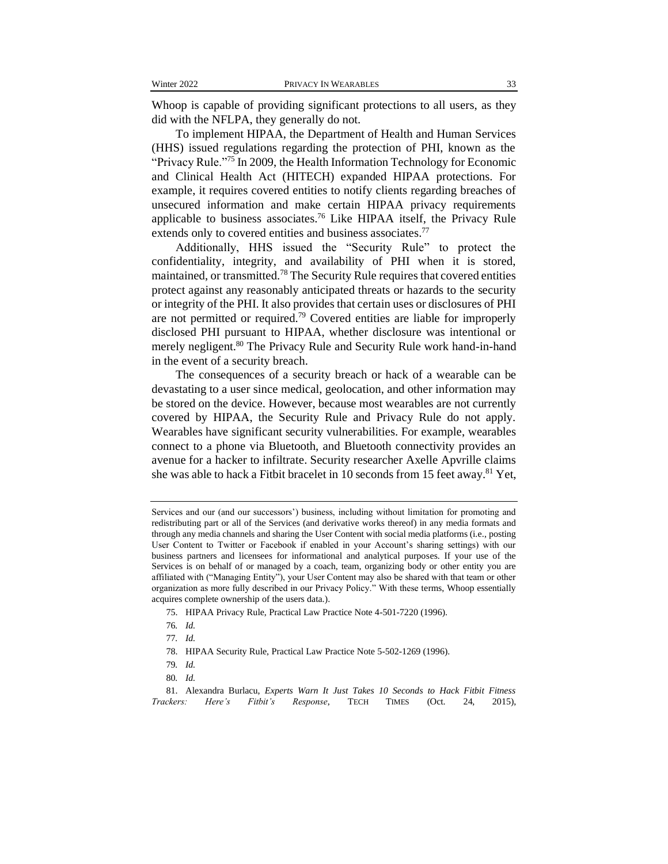Whoop is capable of providing significant protections to all users, as they did with the NFLPA, they generally do not.

To implement HIPAA, the Department of Health and Human Services (HHS) issued regulations regarding the protection of PHI, known as the "Privacy Rule."<sup>75</sup> In 2009, the Health Information Technology for Economic and Clinical Health Act (HITECH) expanded HIPAA protections. For example, it requires covered entities to notify clients regarding breaches of unsecured information and make certain HIPAA privacy requirements applicable to business associates.<sup>76</sup> Like HIPAA itself, the Privacy Rule extends only to covered entities and business associates.<sup>77</sup>

Additionally, HHS issued the "Security Rule" to protect the confidentiality, integrity, and availability of PHI when it is stored, maintained, or transmitted.<sup>78</sup> The Security Rule requires that covered entities protect against any reasonably anticipated threats or hazards to the security or integrity of the PHI. It also provides that certain uses or disclosures of PHI are not permitted or required.<sup>79</sup> Covered entities are liable for improperly disclosed PHI pursuant to HIPAA, whether disclosure was intentional or merely negligent.<sup>80</sup> The Privacy Rule and Security Rule work hand-in-hand in the event of a security breach.

The consequences of a security breach or hack of a wearable can be devastating to a user since medical, geolocation, and other information may be stored on the device. However, because most wearables are not currently covered by HIPAA, the Security Rule and Privacy Rule do not apply. Wearables have significant security vulnerabilities. For example, wearables connect to a phone via Bluetooth, and Bluetooth connectivity provides an avenue for a hacker to infiltrate. Security researcher Axelle Apvrille claims she was able to hack a Fitbit bracelet in 10 seconds from 15 feet away.<sup>81</sup> Yet,

Services and our (and our successors') business, including without limitation for promoting and redistributing part or all of the Services (and derivative works thereof) in any media formats and through any media channels and sharing the User Content with social media platforms (i.e., posting User Content to Twitter or Facebook if enabled in your Account's sharing settings) with our business partners and licensees for informational and analytical purposes. If your use of the Services is on behalf of or managed by a coach, team, organizing body or other entity you are affiliated with ("Managing Entity"), your User Content may also be shared with that team or other organization as more fully described in our Privacy Policy." With these terms, Whoop essentially acquires complete ownership of the users data.).

<sup>75.</sup> HIPAA Privacy Rule, Practical Law Practice Note 4-501-7220 (1996).

<sup>76</sup>*. Id.*

<sup>77</sup>*. Id.*

<sup>78.</sup> HIPAA Security Rule, Practical Law Practice Note 5-502-1269 (1996).

<sup>79</sup>*. Id.*

<sup>80</sup>*. Id.*

<sup>81.</sup> Alexandra Burlacu, *Experts Warn It Just Takes 10 Seconds to Hack Fitbit Fitness Trackers: Here's Fitbit's Response*, TECH TIMES (Oct. 24, 2015),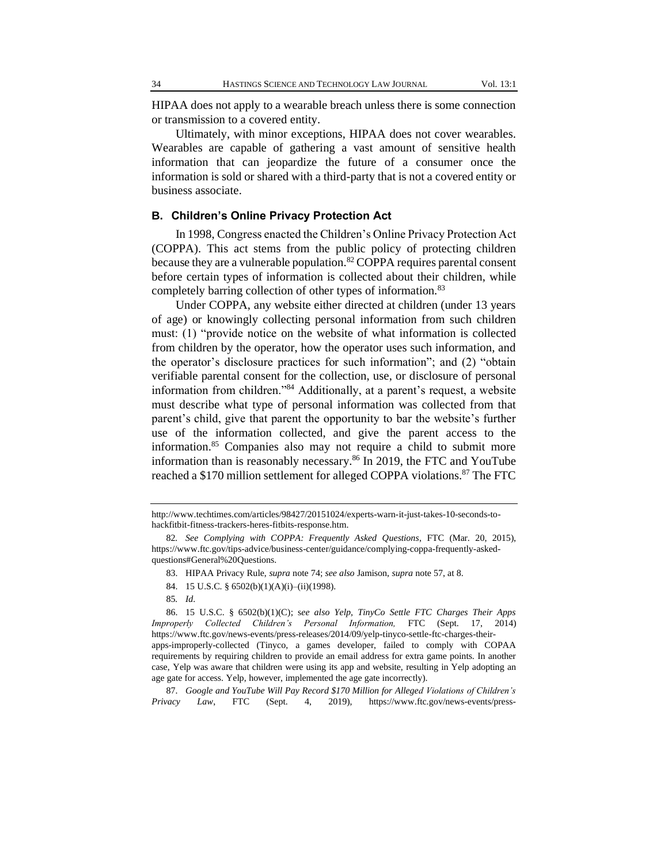HIPAA does not apply to a wearable breach unless there is some connection or transmission to a covered entity.

Ultimately, with minor exceptions, HIPAA does not cover wearables. Wearables are capable of gathering a vast amount of sensitive health information that can jeopardize the future of a consumer once the information is sold or shared with a third-party that is not a covered entity or business associate.

#### **B. Children's Online Privacy Protection Act**

In 1998, Congress enacted the Children's Online Privacy Protection Act (COPPA). This act stems from the public policy of protecting children because they are a vulnerable population.<sup>82</sup> COPPA requires parental consent before certain types of information is collected about their children, while completely barring collection of other types of information.<sup>83</sup>

Under COPPA, any website either directed at children (under 13 years of age) or knowingly collecting personal information from such children must: (1) "provide notice on the website of what information is collected from children by the operator, how the operator uses such information, and the operator's disclosure practices for such information"; and (2) "obtain verifiable parental consent for the collection, use, or disclosure of personal information from children."<sup>84</sup> Additionally, at a parent's request, a website must describe what type of personal information was collected from that parent's child, give that parent the opportunity to bar the website's further use of the information collected, and give the parent access to the information.<sup>85</sup> Companies also may not require a child to submit more information than is reasonably necessary.<sup>86</sup> In 2019, the FTC and YouTube reached a \$170 million settlement for alleged COPPA violations.<sup>87</sup> The FTC

- 83. HIPAA Privacy Rule, *supra* note 74; *see also* Jamison, *supra* note 57, at 8.
- 84. 15 U.S.C. § 6502(b)(1)(A)(i)–(ii)(1998).
- 85*. Id*.

86. 15 U.S.C. § 6502(b)(1)(C); s*ee also Yelp, TinyCo Settle FTC Charges Their Apps Improperly Collected Children's Personal Information,* FTC (Sept. 17, 2014) https://www.ftc.gov/news-events/press-releases/2014/09/yelp-tinyco-settle-ftc-charges-theirapps-improperly-collected (Tinyco, a games developer, failed to comply with COPAA requirements by requiring children to provide an email address for extra game points. In another case, Yelp was aware that children were using its app and website, resulting in Yelp adopting an age gate for access. Yelp, however, implemented the age gate incorrectly).

87. *Google and YouTube Will Pay Record \$170 Million for Alleged Violations of Children's Privacy Law*, FTC (Sept. 4, 2019), https://www.ftc.gov/news-events/press-

http://www.techtimes.com/articles/98427/20151024/experts-warn-it-just-takes-10-seconds-tohackfitbit-fitness-trackers-heres-fitbits-response.htm.

<sup>82</sup>*. See Complying with COPPA: Frequently Asked Questions*, FTC (Mar. 20, 2015), https://www.ftc.gov/tips-advice/business-center/guidance/complying-coppa-frequently-askedquestions#General%20Questions.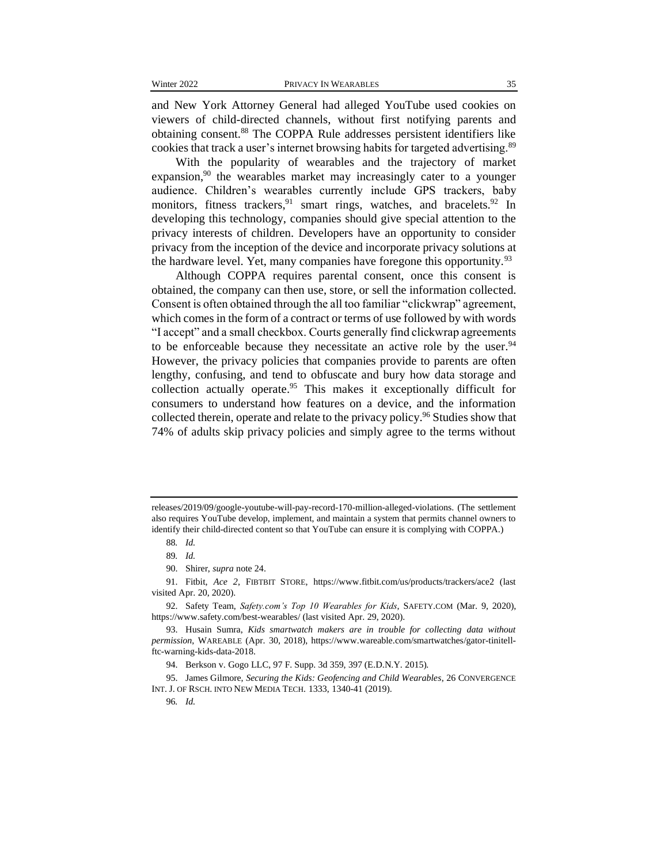and New York Attorney General had alleged YouTube used cookies on viewers of child-directed channels, without first notifying parents and obtaining consent.<sup>88</sup> The COPPA Rule addresses persistent identifiers like cookies that track a user's internet browsing habits for targeted advertising.<sup>89</sup>

With the popularity of wearables and the trajectory of market expansion,  $90$  the wearables market may increasingly cater to a younger audience. Children's wearables currently include GPS trackers, baby monitors, fitness trackers,<sup>91</sup> smart rings, watches, and bracelets.<sup>92</sup> In developing this technology, companies should give special attention to the privacy interests of children. Developers have an opportunity to consider privacy from the inception of the device and incorporate privacy solutions at the hardware level. Yet, many companies have foregone this opportunity.  $93$ 

Although COPPA requires parental consent, once this consent is obtained, the company can then use, store, or sell the information collected. Consent is often obtained through the all too familiar "clickwrap" agreement, which comes in the form of a contract or terms of use followed by with words "I accept" and a small checkbox. Courts generally find clickwrap agreements to be enforceable because they necessitate an active role by the user.  $94$ However, the privacy policies that companies provide to parents are often lengthy, confusing, and tend to obfuscate and bury how data storage and collection actually operate.<sup>95</sup> This makes it exceptionally difficult for consumers to understand how features on a device, and the information collected therein, operate and relate to the privacy policy.<sup>96</sup> Studies show that 74% of adults skip privacy policies and simply agree to the terms without

releases/2019/09/google-youtube-will-pay-record-170-million-alleged-violations. (The settlement also requires YouTube develop, implement, and maintain a system that permits channel owners to identify their child-directed content so that YouTube can ensure it is complying with COPPA.)

<sup>88</sup>*. Id.*

<sup>89</sup>*. Id.*

<sup>90.</sup> Shirer, *supra* note 24.

<sup>91.</sup> Fitbit, *Ace 2*, FIBTBIT STORE, https://www.fitbit.com/us/products/trackers/ace2 (last visited Apr. 20, 2020).

<sup>92.</sup> Safety Team, *Safety.com's Top 10 Wearables for Kids*, SAFETY.COM (Mar. 9, 2020), https://www.safety.com/best-wearables/ (last visited Apr. 29, 2020).

<sup>93.</sup> Husain Sumra, *Kids smartwatch makers are in trouble for collecting data without permission*, WAREABLE (Apr. 30, 2018), https://www.wareable.com/smartwatches/gator-tinitellftc-warning-kids-data-2018.

<sup>94.</sup> Berkson v. Gogo LLC, 97 F. Supp. 3d 359, 397 (E.D.N.Y. 2015).

<sup>95.</sup> James Gilmore, *Securing the Kids: Geofencing and Child Wearables*, 26 CONVERGENCE INT. J. OF RSCH. INTO NEW MEDIA TECH. 1333, 1340-41 (2019).

<sup>96</sup>*. Id.*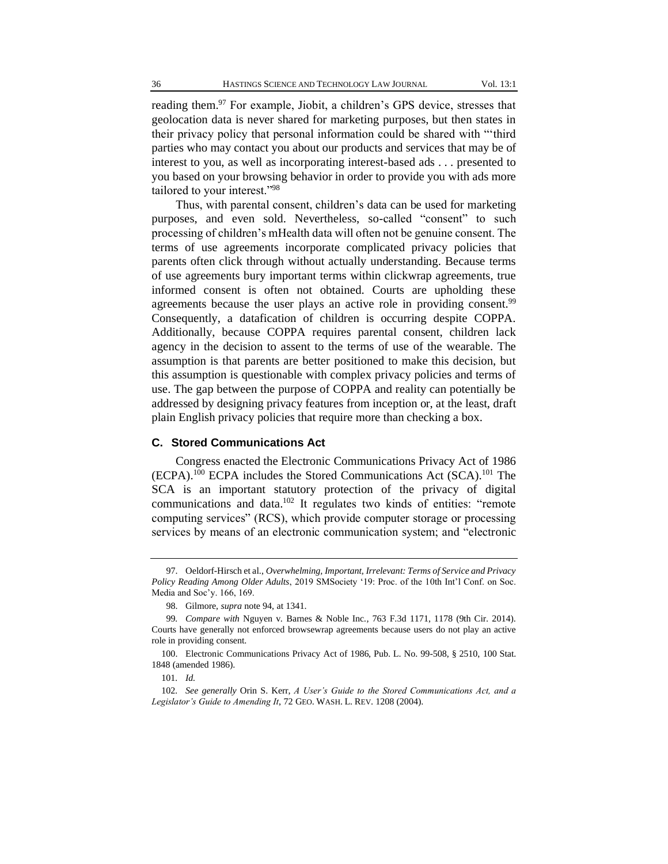reading them.<sup>97</sup> For example, Jiobit, a children's GPS device, stresses that geolocation data is never shared for marketing purposes, but then states in their privacy policy that personal information could be shared with "'third parties who may contact you about our products and services that may be of interest to you, as well as incorporating interest-based ads . . . presented to you based on your browsing behavior in order to provide you with ads more tailored to your interest."<sup>98</sup>

Thus, with parental consent, children's data can be used for marketing purposes, and even sold. Nevertheless, so-called "consent" to such processing of children's mHealth data will often not be genuine consent. The terms of use agreements incorporate complicated privacy policies that parents often click through without actually understanding. Because terms of use agreements bury important terms within clickwrap agreements, true informed consent is often not obtained. Courts are upholding these agreements because the user plays an active role in providing consent.<sup>99</sup> Consequently, a datafication of children is occurring despite COPPA. Additionally, because COPPA requires parental consent, children lack agency in the decision to assent to the terms of use of the wearable. The assumption is that parents are better positioned to make this decision, but this assumption is questionable with complex privacy policies and terms of use. The gap between the purpose of COPPA and reality can potentially be addressed by designing privacy features from inception or, at the least, draft plain English privacy policies that require more than checking a box.

#### **C. Stored Communications Act**

Congress enacted the Electronic Communications Privacy Act of 1986 (ECPA).<sup>100</sup> ECPA includes the Stored Communications Act (SCA).<sup>101</sup> The SCA is an important statutory protection of the privacy of digital communications and data.<sup>102</sup> It regulates two kinds of entities: "remote computing services" (RCS), which provide computer storage or processing services by means of an electronic communication system; and "electronic

<sup>97.</sup> Oeldorf-Hirsch et al., *Overwhelming, Important, Irrelevant: Terms of Service and Privacy Policy Reading Among Older Adults*, 2019 SMSociety '19: Proc. of the 10th Int'l Conf. on Soc. Media and Soc'y. 166, 169.

<sup>98.</sup> Gilmore, *supra* note 94, at 1341.

<sup>99</sup>*. Compare with* Nguyen v. Barnes & Noble Inc*.,* 763 F.3d 1171, 1178 (9th Cir. 2014). Courts have generally not enforced browsewrap agreements because users do not play an active role in providing consent.

<sup>100.</sup> Electronic Communications Privacy Act of 1986, Pub. L. No. 99-508, § 2510, 100 Stat. 1848 (amended 1986).

<sup>101</sup>*. Id.*

<sup>102</sup>*. See generally* Orin S. Kerr, *A User's Guide to the Stored Communications Act, and a Legislator's Guide to Amending It*, 72 GEO. WASH. L. REV. 1208 (2004).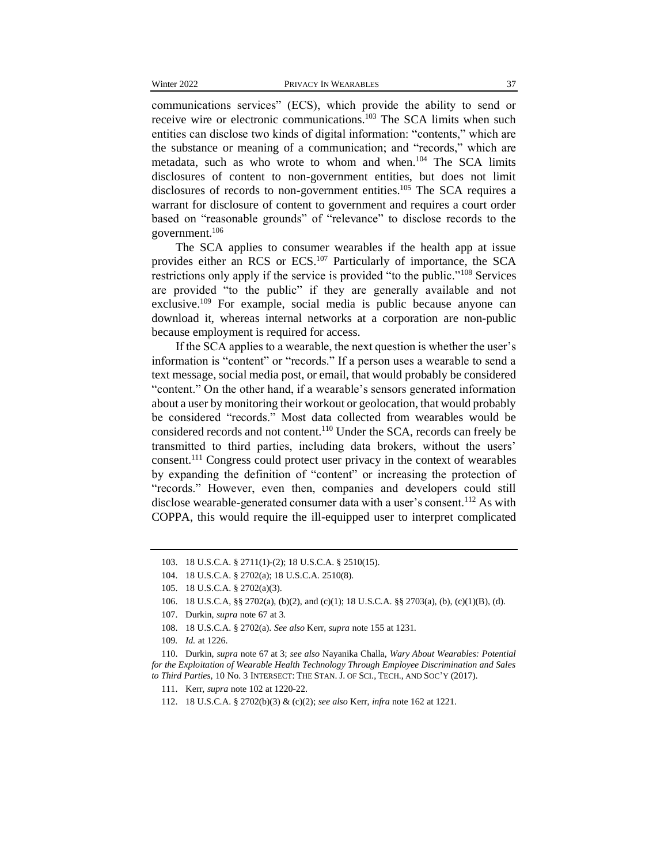communications services" (ECS), which provide the ability to send or receive wire or electronic communications.<sup>103</sup> The SCA limits when such entities can disclose two kinds of digital information: "contents," which are the substance or meaning of a communication; and "records," which are metadata, such as who wrote to whom and when.<sup>104</sup> The SCA limits disclosures of content to non-government entities, but does not limit disclosures of records to non-government entities.<sup>105</sup> The SCA requires a warrant for disclosure of content to government and requires a court order based on "reasonable grounds" of "relevance" to disclose records to the government.<sup>106</sup>

The SCA applies to consumer wearables if the health app at issue provides either an RCS or ECS.<sup>107</sup> Particularly of importance, the SCA restrictions only apply if the service is provided "to the public."<sup>108</sup> Services are provided "to the public" if they are generally available and not exclusive.<sup>109</sup> For example, social media is public because anyone can download it, whereas internal networks at a corporation are non-public because employment is required for access.

If the SCA applies to a wearable, the next question is whether the user's information is "content" or "records." If a person uses a wearable to send a text message, social media post, or email, that would probably be considered "content." On the other hand, if a wearable's sensors generated information about a user by monitoring their workout or geolocation, that would probably be considered "records." Most data collected from wearables would be considered records and not content.<sup>110</sup> Under the SCA, records can freely be transmitted to third parties, including data brokers, without the users' consent.<sup>111</sup> Congress could protect user privacy in the context of wearables by expanding the definition of "content" or increasing the protection of "records." However, even then, companies and developers could still disclose wearable-generated consumer data with a user's consent.<sup>112</sup> As with COPPA, this would require the ill-equipped user to interpret complicated

<sup>103.</sup> 18 U.S.C.A. § 2711(1)-(2); 18 U.S.C.A. § 2510(15).

<sup>104.</sup> 18 U.S.C.A. § 2702(a); 18 U.S.C.A. 2510(8).

<sup>105.</sup> 18 U.S.C.A. § 2702(a)(3).

<sup>106.</sup> 18 U.S.C.A, §§ 2702(a), (b)(2), and (c)(1); 18 U.S.C.A. §§ 2703(a), (b), (c)(1)(B), (d).

<sup>107.</sup> Durkin, *supra* note 67 at 3.

<sup>108.</sup> 18 U.S.C.A. § 2702(a). *See also* Kerr, *supra* note 155 at 1231.

<sup>109</sup>*. Id.* at 1226.

<sup>110.</sup> Durkin, *supra* note 67 at 3; *see also* Nayanika Challa, *Wary About Wearables: Potential for the Exploitation of Wearable Health Technology Through Employee Discrimination and Sales to Third Parties*, 10 No. 3 INTERSECT: THE STAN. J. OF SCI., TECH., AND SOC'Y (2017).

<sup>111.</sup> Kerr, *supra* note 102 at 1220-22.

<sup>112.</sup> 18 U.S.C.A. § 2702(b)(3) & (c)(2); *see also* Kerr, *infra* note 162 at 1221.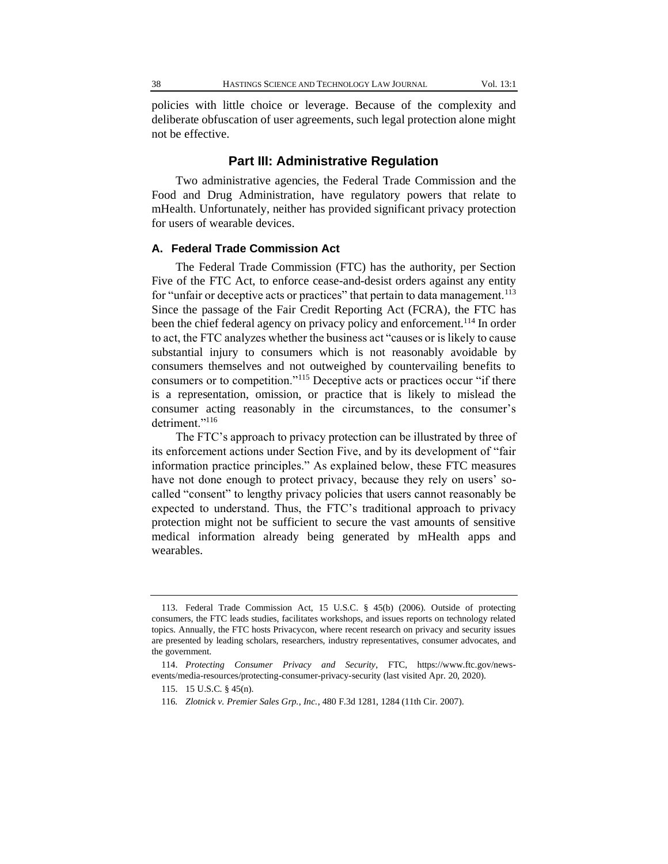policies with little choice or leverage. Because of the complexity and deliberate obfuscation of user agreements, such legal protection alone might not be effective.

#### **Part III: Administrative Regulation**

Two administrative agencies, the Federal Trade Commission and the Food and Drug Administration, have regulatory powers that relate to mHealth. Unfortunately, neither has provided significant privacy protection for users of wearable devices.

#### **A. Federal Trade Commission Act**

The Federal Trade Commission (FTC) has the authority, per Section Five of the FTC Act, to enforce cease-and-desist orders against any entity for "unfair or deceptive acts or practices" that pertain to data management.<sup>113</sup> Since the passage of the Fair Credit Reporting Act (FCRA), the FTC has been the chief federal agency on privacy policy and enforcement.<sup>114</sup> In order to act, the FTC analyzes whether the business act "causes or is likely to cause substantial injury to consumers which is not reasonably avoidable by consumers themselves and not outweighed by countervailing benefits to consumers or to competition."<sup>115</sup> Deceptive acts or practices occur "if there is a representation, omission, or practice that is likely to mislead the consumer acting reasonably in the circumstances, to the consumer's detriment."<sup>116</sup>

The FTC's approach to privacy protection can be illustrated by three of its enforcement actions under Section Five, and by its development of "fair information practice principles." As explained below, these FTC measures have not done enough to protect privacy, because they rely on users' socalled "consent" to lengthy privacy policies that users cannot reasonably be expected to understand. Thus, the FTC's traditional approach to privacy protection might not be sufficient to secure the vast amounts of sensitive medical information already being generated by mHealth apps and wearables.

<sup>113.</sup> Federal Trade Commission Act, 15 U.S.C. § 45(b) (2006). Outside of protecting consumers, the FTC leads studies, facilitates workshops, and issues reports on technology related topics. Annually, the FTC hosts Privacycon, where recent research on privacy and security issues are presented by leading scholars, researchers, industry representatives, consumer advocates, and the government.

<sup>114.</sup> *Protecting Consumer Privacy and Security*, FTC, https://www.ftc.gov/newsevents/media-resources/protecting-consumer-privacy-security (last visited Apr. 20, 2020).

<sup>115.</sup> 15 U.S.C. § 45(n).

<sup>116</sup>*. Zlotnick v. Premier Sales Grp., Inc.*, 480 F.3d 1281, 1284 (11th Cir. 2007).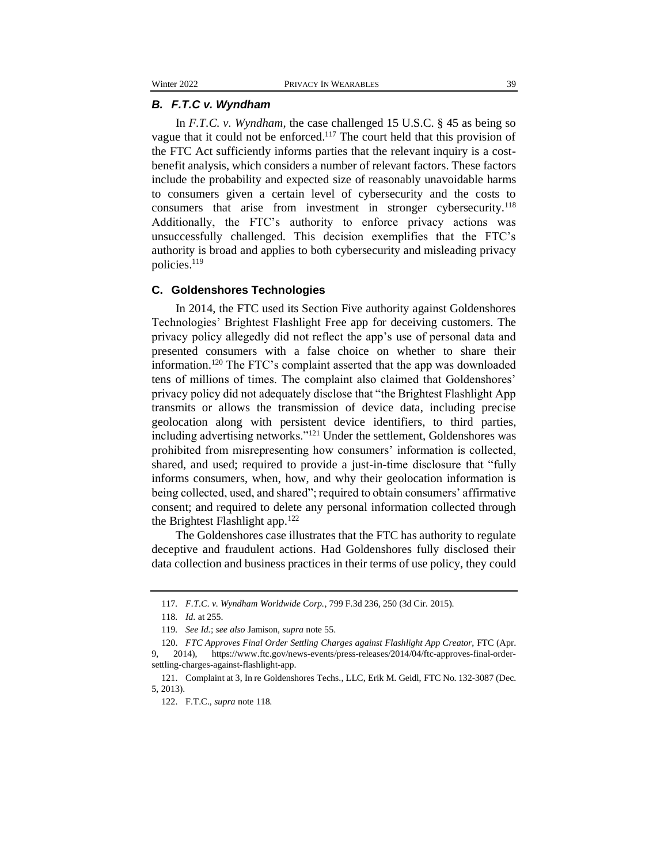#### *B. F.T.C v. Wyndham*

In *F.T.C. v. Wyndham,* the case challenged 15 U.S.C. § 45 as being so vague that it could not be enforced.<sup>117</sup> The court held that this provision of the FTC Act sufficiently informs parties that the relevant inquiry is a costbenefit analysis, which considers a number of relevant factors. These factors include the probability and expected size of reasonably unavoidable harms to consumers given a certain level of cybersecurity and the costs to consumers that arise from investment in stronger cybersecurity.<sup>118</sup> Additionally, the FTC's authority to enforce privacy actions was unsuccessfully challenged. This decision exemplifies that the FTC's authority is broad and applies to both cybersecurity and misleading privacy policies.<sup>119</sup>

#### **C. Goldenshores Technologies**

In 2014, the FTC used its Section Five authority against Goldenshores Technologies' Brightest Flashlight Free app for deceiving customers. The privacy policy allegedly did not reflect the app's use of personal data and presented consumers with a false choice on whether to share their information.<sup>120</sup> The FTC's complaint asserted that the app was downloaded tens of millions of times. The complaint also claimed that Goldenshores' privacy policy did not adequately disclose that "the Brightest Flashlight App transmits or allows the transmission of device data, including precise geolocation along with persistent device identifiers, to third parties, including advertising networks."<sup>121</sup> Under the settlement, Goldenshores was prohibited from misrepresenting how consumers' information is collected, shared, and used; required to provide a just-in-time disclosure that "fully informs consumers, when, how, and why their geolocation information is being collected, used, and shared"; required to obtain consumers' affirmative consent; and required to delete any personal information collected through the Brightest Flashlight app. $122$ 

The Goldenshores case illustrates that the FTC has authority to regulate deceptive and fraudulent actions. Had Goldenshores fully disclosed their data collection and business practices in their terms of use policy, they could

<sup>117</sup>*. F.T.C. v. Wyndham Worldwide Corp.*, 799 F.3d 236, 250 (3d Cir. 2015).

<sup>118</sup>*. Id*. at 255.

<sup>119</sup>*. See Id.*; *see also* Jamison, *supra* note 55.

<sup>120.</sup> *FTC Approves Final Order Settling Charges against Flashlight App Creator*, FTC (Apr. 2014), https://www.ftc.gov/news-events/press-releases/2014/04/ftc-approves-final-ordersettling-charges-against-flashlight-app.

<sup>121.</sup> Complaint at 3, In re Goldenshores Techs., LLC, Erik M. Geidl, FTC No. 132-3087 (Dec. 5, 2013).

<sup>122.</sup> F.T.C., *supra* note 118.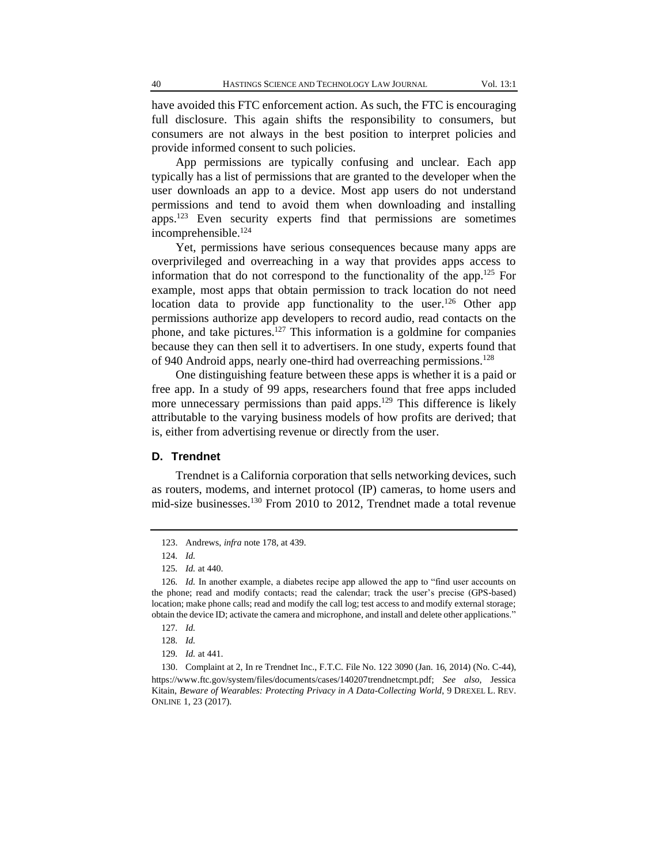have avoided this FTC enforcement action. As such, the FTC is encouraging full disclosure. This again shifts the responsibility to consumers, but consumers are not always in the best position to interpret policies and provide informed consent to such policies.

App permissions are typically confusing and unclear. Each app typically has a list of permissions that are granted to the developer when the user downloads an app to a device. Most app users do not understand permissions and tend to avoid them when downloading and installing apps.<sup>123</sup> Even security experts find that permissions are sometimes incomprehensible.<sup>124</sup>

Yet, permissions have serious consequences because many apps are overprivileged and overreaching in a way that provides apps access to information that do not correspond to the functionality of the app.<sup>125</sup> For example, most apps that obtain permission to track location do not need location data to provide app functionality to the user.<sup>126</sup> Other app permissions authorize app developers to record audio, read contacts on the phone, and take pictures.<sup>127</sup> This information is a goldmine for companies because they can then sell it to advertisers. In one study, experts found that of 940 Android apps, nearly one-third had overreaching permissions.<sup>128</sup>

One distinguishing feature between these apps is whether it is a paid or free app. In a study of 99 apps, researchers found that free apps included more unnecessary permissions than paid apps.<sup>129</sup> This difference is likely attributable to the varying business models of how profits are derived; that is, either from advertising revenue or directly from the user.

#### **D. Trendnet**

Trendnet is a California corporation that sells networking devices, such as routers, modems, and internet protocol (IP) cameras, to home users and mid-size businesses.<sup>130</sup> From 2010 to 2012, Trendnet made a total revenue

<sup>123.</sup> Andrews, *infra* note 178, at 439.

<sup>124</sup>*. Id.*

<sup>125</sup>*. Id.* at 440.

<sup>126</sup>*. Id.* In another example, a diabetes recipe app allowed the app to "find user accounts on the phone; read and modify contacts; read the calendar; track the user's precise (GPS-based) location; make phone calls; read and modify the call log; test access to and modify external storage; obtain the device ID; activate the camera and microphone, and install and delete other applications."

<sup>127</sup>*. Id.*

<sup>128</sup>*. Id.*

<sup>129</sup>*. Id.* at 441.

<sup>130.</sup> Complaint at 2, In re Trendnet Inc., F.T.C. File No. 122 3090 (Jan. 16, 2014) (No. C-44), [https://www.ftc.gov/system/files/documents/cases/140207trendnetcmpt.pdf;](https://www.ftc.gov/system/files/documents/cases/140207trendnetcmpt.pdf) *See also*, Jessica Kitain, *Beware of Wearables: Protecting Privacy in A Data-Collecting World*, 9 DREXEL L. REV. ONLINE 1, 23 (2017).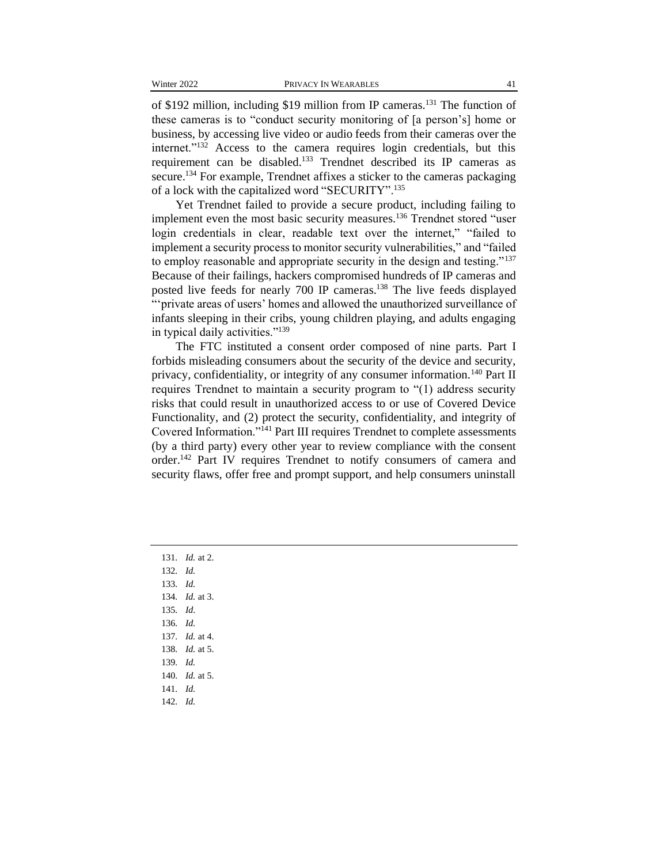of \$192 million, including \$19 million from IP cameras.<sup>131</sup> The function of these cameras is to "conduct security monitoring of [a person's] home or business, by accessing live video or audio feeds from their cameras over the internet."<sup>132</sup> Access to the camera requires login credentials, but this requirement can be disabled.<sup>133</sup> Trendnet described its IP cameras as secure.<sup>134</sup> For example, Trendnet affixes a sticker to the cameras packaging of a lock with the capitalized word "SECURITY".<sup>135</sup>

Yet Trendnet failed to provide a secure product, including failing to implement even the most basic security measures.<sup>136</sup> Trendnet stored "user login credentials in clear, readable text over the internet," "failed to implement a security process to monitor security vulnerabilities," and "failed to employ reasonable and appropriate security in the design and testing."<sup>137</sup> Because of their failings, hackers compromised hundreds of IP cameras and posted live feeds for nearly 700 IP cameras.<sup>138</sup> The live feeds displayed "'private areas of users' homes and allowed the unauthorized surveillance of infants sleeping in their cribs, young children playing, and adults engaging in typical daily activities."<sup>139</sup>

The FTC instituted a consent order composed of nine parts. Part I forbids misleading consumers about the security of the device and security, privacy, confidentiality, or integrity of any consumer information.<sup>140</sup> Part II requires Trendnet to maintain a security program to "(1) address security risks that could result in unauthorized access to or use of Covered Device Functionality, and (2) protect the security, confidentiality, and integrity of Covered Information."<sup>141</sup> Part III requires Trendnet to complete assessments (by a third party) every other year to review compliance with the consent order.<sup>142</sup> Part IV requires Trendnet to notify consumers of camera and security flaws, offer free and prompt support, and help consumers uninstall

131*. Id.* at 2. 132*. Id.* 133*. Id.*  134*. Id.* at 3. 135*. Id*. 136*. Id.* 137*. Id.* at 4. 138*. Id.* at 5. 139*. Id.* 140*. Id.* at 5. 141*. Id.* 142*. Id.*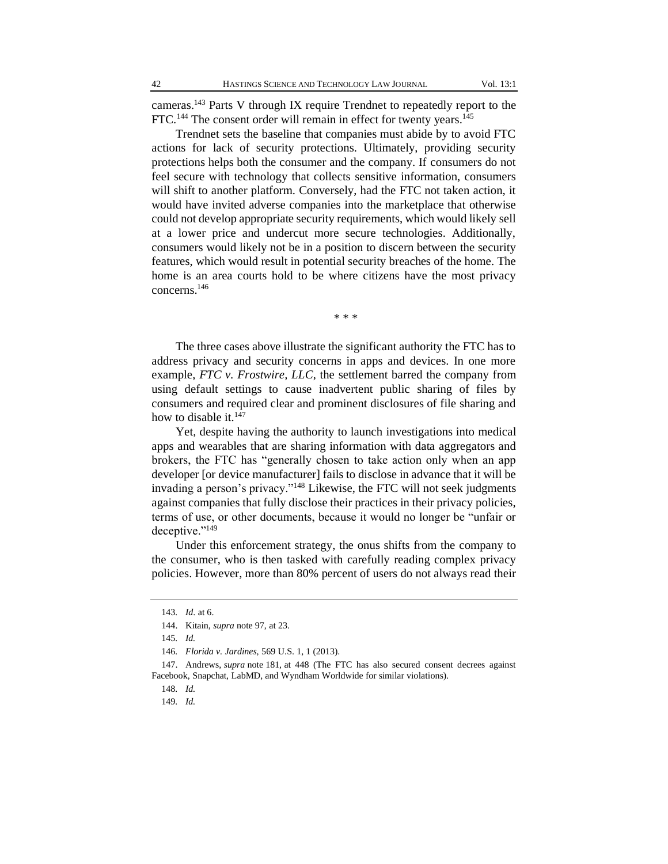cameras.<sup>143</sup> Parts V through IX require Trendnet to repeatedly report to the FTC.<sup>144</sup> The consent order will remain in effect for twenty years.<sup>145</sup>

Trendnet sets the baseline that companies must abide by to avoid FTC actions for lack of security protections. Ultimately, providing security protections helps both the consumer and the company. If consumers do not feel secure with technology that collects sensitive information, consumers will shift to another platform. Conversely, had the FTC not taken action, it would have invited adverse companies into the marketplace that otherwise could not develop appropriate security requirements, which would likely sell at a lower price and undercut more secure technologies. Additionally, consumers would likely not be in a position to discern between the security features, which would result in potential security breaches of the home. The home is an area courts hold to be where citizens have the most privacy concerns.<sup>146</sup>

\* \* \*

The three cases above illustrate the significant authority the FTC has to address privacy and security concerns in apps and devices. In one more example, *FTC v. Frostwire, LLC*, the settlement barred the company from using default settings to cause inadvertent public sharing of files by consumers and required clear and prominent disclosures of file sharing and how to disable it. $147$ 

Yet, despite having the authority to launch investigations into medical apps and wearables that are sharing information with data aggregators and brokers, the FTC has "generally chosen to take action only when an app developer [or device manufacturer] fails to disclose in advance that it will be invading a person's privacy."<sup>148</sup> Likewise, the FTC will not seek judgments against companies that fully disclose their practices in their privacy policies, terms of use, or other documents, because it would no longer be "unfair or deceptive."<sup>149</sup>

Under this enforcement strategy, the onus shifts from the company to the consumer, who is then tasked with carefully reading complex privacy policies. However, more than 80% percent of users do not always read their

<sup>143</sup>*. Id*. at 6.

<sup>144.</sup> Kitain, *supra* note 97, at 23.

<sup>145</sup>*. Id.*

<sup>146</sup>*. Florida v. Jardines*, 569 U.S. 1, 1 (2013).

<sup>147.</sup> Andrews, *supra* note 181, at 448 (The FTC has also secured consent decrees against Facebook, Snapchat, LabMD, and Wyndham Worldwide for similar violations).

<sup>148</sup>*. Id.*

<sup>149</sup>*. Id.*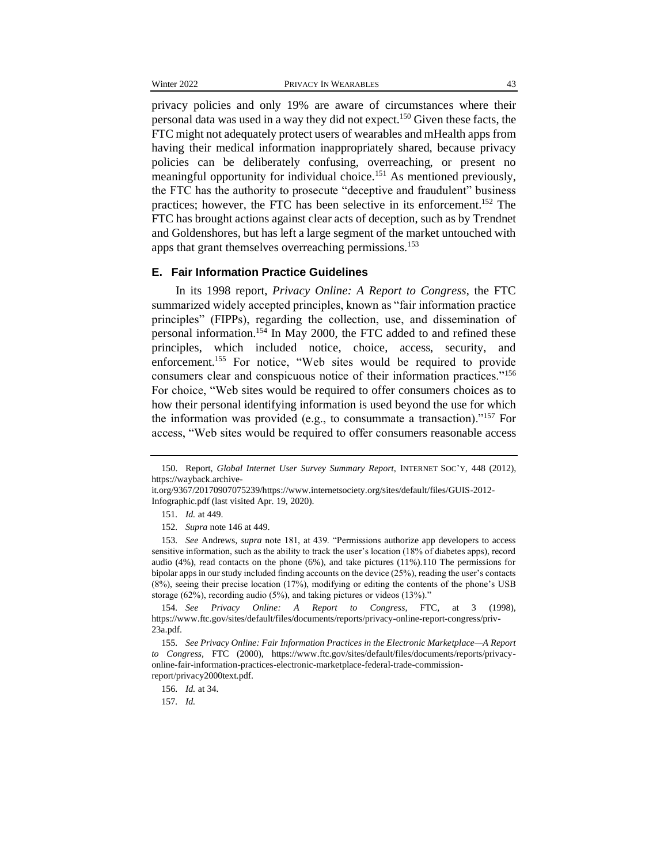privacy policies and only 19% are aware of circumstances where their personal data was used in a way they did not expect.<sup>150</sup> Given these facts, the FTC might not adequately protect users of wearables and mHealth apps from having their medical information inappropriately shared, because privacy policies can be deliberately confusing, overreaching, or present no meaningful opportunity for individual choice.<sup>151</sup> As mentioned previously, the FTC has the authority to prosecute "deceptive and fraudulent" business practices; however, the FTC has been selective in its enforcement.<sup>152</sup> The FTC has brought actions against clear acts of deception, such as by Trendnet and Goldenshores, but has left a large segment of the market untouched with apps that grant themselves overreaching permissions.<sup>153</sup>

#### **E. Fair Information Practice Guidelines**

In its 1998 report, *Privacy Online: A Report to Congress*, the FTC summarized widely accepted principles, known as "fair information practice principles" (FIPPs), regarding the collection, use, and dissemination of personal information.<sup>154</sup> In May 2000, the FTC added to and refined these principles, which included notice, choice, access, security, and enforcement.<sup>155</sup> For notice, "Web sites would be required to provide consumers clear and conspicuous notice of their information practices."<sup>156</sup> For choice, "Web sites would be required to offer consumers choices as to how their personal identifying information is used beyond the use for which the information was provided (e.g., to consummate a transaction)."<sup>157</sup> For access, "Web sites would be required to offer consumers reasonable access

157*. Id.*

<sup>150.</sup> Report, *Global Internet User Survey Summary Report*, INTERNET SOC'Y, 448 (2012), https://wayback.archive-

it.org/9367/20170907075239/https://www.internetsociety.org/sites/default/files/GUIS-2012- Infographic.pdf (last visited Apr. 19, 2020).

<sup>151</sup>*. Id.* at 449.

<sup>152</sup>*. Supra* note 146 at 449.

<sup>153</sup>*. See* Andrews, *supra* note 181, at 439. "Permissions authorize app developers to access sensitive information, such as the ability to track the user's location (18% of diabetes apps), record audio (4%), read contacts on the phone (6%), and take pictures (11%).110 The permissions for bipolar apps in our study included finding accounts on the device (25%), reading the user's contacts (8%), seeing their precise location (17%), modifying or editing the contents of the phone's USB storage (62%), recording audio (5%), and taking pictures or videos (13%)."

<sup>154</sup>*. See Privacy Online: A Report to Congress,* FTC*,* at 3 (1998), https://www.ftc.gov/sites/default/files/documents/reports/privacy-online-report-congress/priv-23a.pdf.

<sup>155</sup>*. See Privacy Online: Fair Information Practices in the Electronic Marketplace—A Report to Congress,* FTC (2000), https://www.ftc.gov/sites/default/files/documents/reports/privacyonline-fair-information-practices-electronic-marketplace-federal-trade-commissionreport/privacy2000text.pdf.

<sup>156</sup>*. Id.* at 34.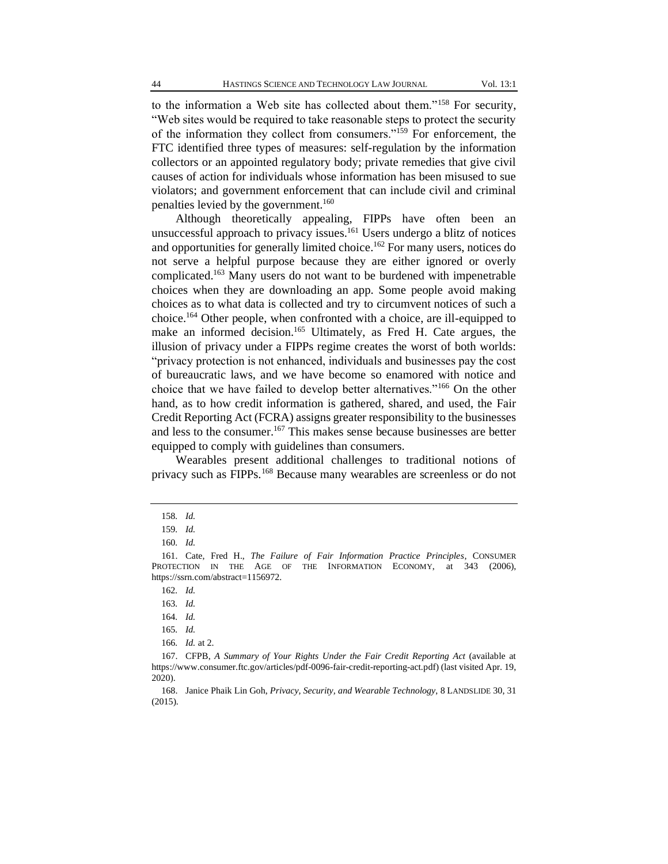to the information a Web site has collected about them."<sup>158</sup> For security, "Web sites would be required to take reasonable steps to protect the security of the information they collect from consumers."<sup>159</sup> For enforcement, the FTC identified three types of measures: self-regulation by the information collectors or an appointed regulatory body; private remedies that give civil causes of action for individuals whose information has been misused to sue violators; and government enforcement that can include civil and criminal penalties levied by the government.<sup>160</sup>

Although theoretically appealing, FIPPs have often been an unsuccessful approach to privacy issues.<sup>161</sup> Users undergo a blitz of notices and opportunities for generally limited choice.<sup>162</sup> For many users, notices do not serve a helpful purpose because they are either ignored or overly complicated.<sup>163</sup> Many users do not want to be burdened with impenetrable choices when they are downloading an app. Some people avoid making choices as to what data is collected and try to circumvent notices of such a choice.<sup>164</sup> Other people, when confronted with a choice, are ill-equipped to make an informed decision.<sup>165</sup> Ultimately, as Fred H. Cate argues, the illusion of privacy under a FIPPs regime creates the worst of both worlds: "privacy protection is not enhanced, individuals and businesses pay the cost of bureaucratic laws, and we have become so enamored with notice and choice that we have failed to develop better alternatives."<sup>166</sup> On the other hand, as to how credit information is gathered, shared, and used, the Fair Credit Reporting Act (FCRA) assigns greater responsibility to the businesses and less to the consumer.<sup>167</sup> This makes sense because businesses are better equipped to comply with guidelines than consumers.

Wearables present additional challenges to traditional notions of privacy such as FIPPs.<sup>168</sup> Because many wearables are screenless or do not

<sup>158</sup>*. Id.*

<sup>159</sup>*. Id.*

<sup>160</sup>*. Id.*

<sup>161.</sup> Cate, Fred H., *The Failure of Fair Information Practice Principles*, CONSUMER PROTECTION IN THE AGE OF THE INFORMATION ECONOMY, at 343 (2006), https://ssrn.com/abstract=1156972.

<sup>162</sup>*. Id.*

<sup>163</sup>*. Id.*

<sup>164</sup>*. Id.*

<sup>165</sup>*. Id.*

<sup>166</sup>*. Id.* at 2.

<sup>167.</sup> CFPB, *A Summary of Your Rights Under the Fair Credit Reporting Act* (available at https://www.consumer.ftc.gov/articles/pdf-0096-fair-credit-reporting-act.pdf) (last visited Apr. 19, 2020).

<sup>168.</sup> Janice Phaik Lin Goh, *Privacy, Security, and Wearable Technology*, 8 LANDSLIDE 30, 31 (2015).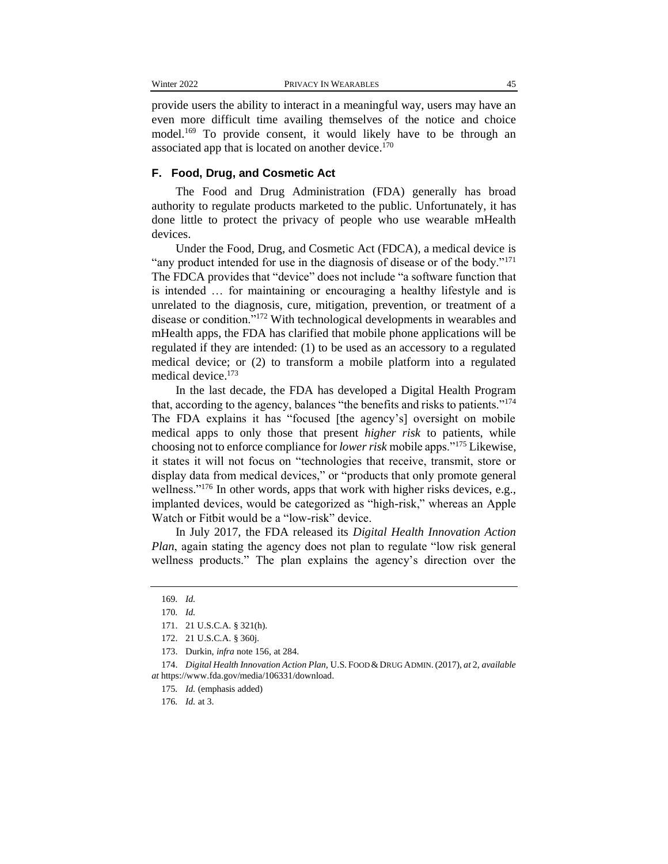provide users the ability to interact in a meaningful way, users may have an even more difficult time availing themselves of the notice and choice model.<sup>169</sup> To provide consent, it would likely have to be through an associated app that is located on another device.<sup>170</sup>

#### **F. Food, Drug, and Cosmetic Act**

The Food and Drug Administration (FDA) generally has broad authority to regulate products marketed to the public. Unfortunately, it has done little to protect the privacy of people who use wearable mHealth devices.

Under the Food, Drug, and Cosmetic Act (FDCA), a medical device is "any product intended for use in the diagnosis of disease or of the body."<sup>171</sup> The FDCA provides that "device" does not include "a software function that is intended … for maintaining or encouraging a healthy lifestyle and is unrelated to the diagnosis, cure, mitigation, prevention, or treatment of a disease or condition."<sup>172</sup> With technological developments in wearables and mHealth apps, the FDA has clarified that mobile phone applications will be regulated if they are intended: (1) to be used as an accessory to a regulated medical device; or (2) to transform a mobile platform into a regulated medical device.<sup>173</sup>

In the last decade, the FDA has developed a Digital Health Program that, according to the agency, balances "the benefits and risks to patients."<sup>174</sup> The FDA explains it has "focused [the agency's] oversight on mobile medical apps to only those that present *higher risk* to patients, while choosing not to enforce compliance for *lower risk* mobile apps."<sup>175</sup> Likewise, it states it will not focus on "technologies that receive, transmit, store or display data from medical devices," or "products that only promote general wellness."<sup>176</sup> In other words, apps that work with higher risks devices, e.g., implanted devices, would be categorized as "high-risk," whereas an Apple Watch or Fitbit would be a "low-risk" device.

In July 2017, the FDA released its *Digital Health Innovation Action Plan*, again stating the agency does not plan to regulate "low risk general wellness products." The plan explains the agency's direction over the

<sup>169</sup>*. Id.*

<sup>170</sup>*. Id.*

<sup>171.</sup> 21 U.S.C.A. § 321(h).

<sup>172.</sup> 21 U.S.C.A. § 360j.

<sup>173.</sup> Durkin, *infra* note 156, at 284.

<sup>174.</sup> *Digital Health Innovation Action Plan,* U.S. FOOD &DRUG ADMIN.(2017), *at* 2, *available at* https://www.fda.gov/media/106331/download.

<sup>175</sup>*. Id.* (emphasis added)

<sup>176</sup>*. Id.* at 3.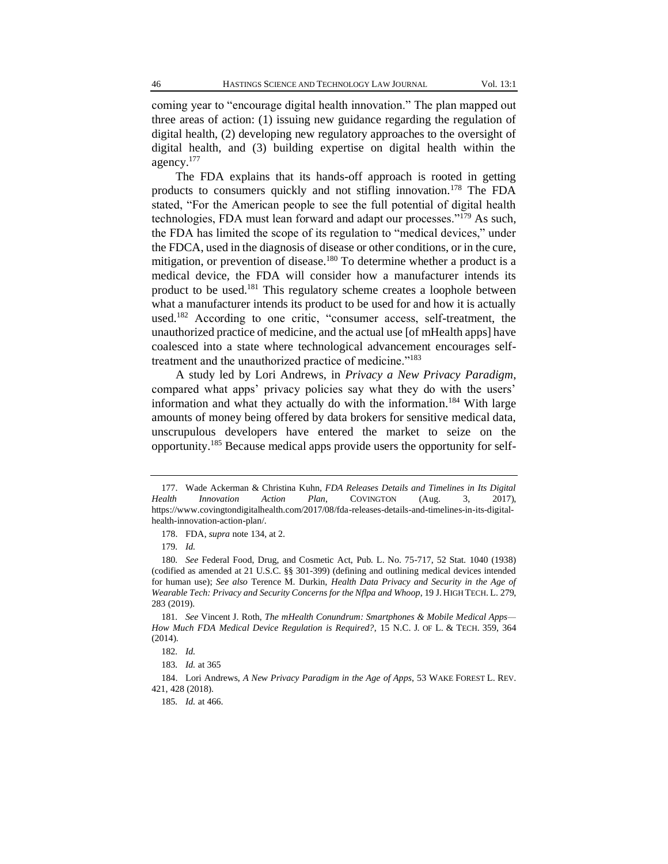coming year to "encourage digital health innovation." The plan mapped out three areas of action: (1) issuing new guidance regarding the regulation of digital health, (2) developing new regulatory approaches to the oversight of digital health, and (3) building expertise on digital health within the agency.<sup>177</sup>

The FDA explains that its hands-off approach is rooted in getting products to consumers quickly and not stifling innovation.<sup>178</sup> The FDA stated, "For the American people to see the full potential of digital health technologies, FDA must lean forward and adapt our processes."<sup>179</sup> As such, the FDA has limited the scope of its regulation to "medical devices," under the FDCA, used in the diagnosis of disease or other conditions, or in the cure, mitigation, or prevention of disease.<sup>180</sup> To determine whether a product is a medical device, the FDA will consider how a manufacturer intends its product to be used.<sup>181</sup> This regulatory scheme creates a loophole between what a manufacturer intends its product to be used for and how it is actually used.<sup>182</sup> According to one critic, "consumer access, self-treatment, the unauthorized practice of medicine, and the actual use [of mHealth apps] have coalesced into a state where technological advancement encourages selftreatment and the unauthorized practice of medicine."<sup>183</sup>

A study led by Lori Andrews, in *Privacy a New Privacy Paradigm*, compared what apps' privacy policies say what they do with the users' information and what they actually do with the information.<sup>184</sup> With large amounts of money being offered by data brokers for sensitive medical data, unscrupulous developers have entered the market to seize on the opportunity.<sup>185</sup> Because medical apps provide users the opportunity for self-

<sup>177.</sup> Wade Ackerman & Christina Kuhn, *FDA Releases Details and Timelines in Its Digital Health Innovation Action Plan*, COVINGTON (Aug. 3, 2017), https://www.covingtondigitalhealth.com/2017/08/fda-releases-details-and-timelines-in-its-digitalhealth-innovation-action-plan/.

<sup>178.</sup> FDA, *supra* note 134, at 2.

<sup>179</sup>*. Id.*

<sup>180</sup>*. See* Federal Food, Drug, and Cosmetic Act, Pub. L. No. 75-717, 52 Stat. 1040 (1938) (codified as amended at 21 U.S.C. §§ 301-399) (defining and outlining medical devices intended for human use); *See also* Terence M. Durkin, *Health Data Privacy and Security in the Age of Wearable Tech: Privacy and Security Concerns for the Nflpa and Whoop*, 19 J. HIGH TECH. L. 279, 283 (2019).

<sup>181</sup>*. See* Vincent J. Roth, *The mHealth Conundrum: Smartphones & Mobile Medical Apps— How Much FDA Medical Device Regulation is Required?*, 15 N.C. J. OF L. & TECH. 359, 364 (2014).

<sup>182</sup>*. Id.* 

<sup>183</sup>*. Id.* at 365

<sup>184.</sup> Lori Andrews, *A New Privacy Paradigm in the Age of Apps*, 53 WAKE FOREST L. REV. 421, 428 (2018).

<sup>185</sup>*. Id.* at 466.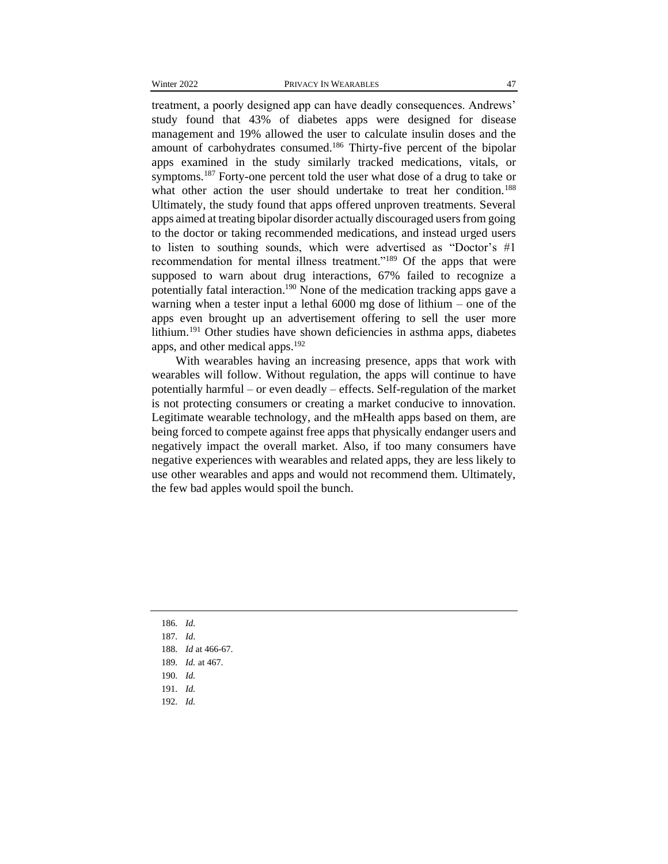treatment, a poorly designed app can have deadly consequences. Andrews' study found that 43% of diabetes apps were designed for disease management and 19% allowed the user to calculate insulin doses and the amount of carbohydrates consumed.<sup>186</sup> Thirty-five percent of the bipolar apps examined in the study similarly tracked medications, vitals, or symptoms.<sup>187</sup> Forty-one percent told the user what dose of a drug to take or what other action the user should undertake to treat her condition.<sup>188</sup> Ultimately, the study found that apps offered unproven treatments. Several apps aimed at treating bipolar disorder actually discouraged users from going to the doctor or taking recommended medications, and instead urged users to listen to southing sounds, which were advertised as "Doctor's #1 recommendation for mental illness treatment."<sup>189</sup> Of the apps that were supposed to warn about drug interactions, 67% failed to recognize a potentially fatal interaction.<sup>190</sup> None of the medication tracking apps gave a warning when a tester input a lethal 6000 mg dose of lithium – one of the apps even brought up an advertisement offering to sell the user more lithium.<sup>191</sup> Other studies have shown deficiencies in asthma apps, diabetes apps, and other medical apps.<sup>192</sup>

With wearables having an increasing presence, apps that work with wearables will follow. Without regulation, the apps will continue to have potentially harmful – or even deadly – effects. Self-regulation of the market is not protecting consumers or creating a market conducive to innovation. Legitimate wearable technology, and the mHealth apps based on them, are being forced to compete against free apps that physically endanger users and negatively impact the overall market. Also, if too many consumers have negative experiences with wearables and related apps, they are less likely to use other wearables and apps and would not recommend them. Ultimately, the few bad apples would spoil the bunch.

- 186*. Id*.
- 187*. Id*.
- 188*. Id* at 466-67.
- 189*. Id.* at 467.
- 190*. Id.*
- 191*. Id.*
- 192*. Id.*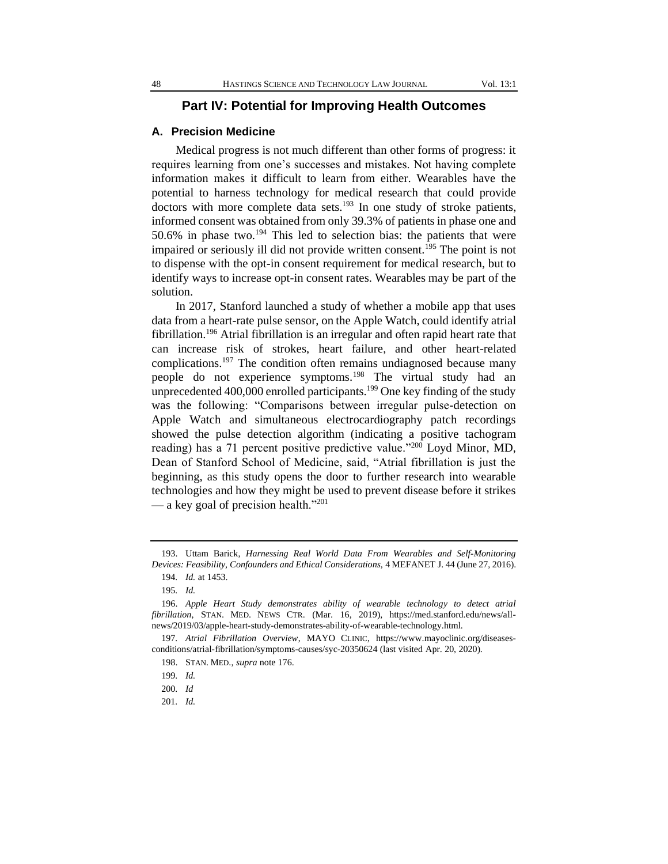#### **Part IV: Potential for Improving Health Outcomes**

#### **A. Precision Medicine**

Medical progress is not much different than other forms of progress: it requires learning from one's successes and mistakes. Not having complete information makes it difficult to learn from either. Wearables have the potential to harness technology for medical research that could provide doctors with more complete data sets.<sup>193</sup> In one study of stroke patients, informed consent was obtained from only 39.3% of patients in phase one and 50.6% in phase two.<sup>194</sup> This led to selection bias: the patients that were impaired or seriously ill did not provide written consent.<sup>195</sup> The point is not to dispense with the opt-in consent requirement for medical research, but to identify ways to increase opt-in consent rates. Wearables may be part of the solution.

In 2017, Stanford launched a study of whether a mobile app that uses data from a heart-rate pulse sensor, on the Apple Watch, could identify atrial fibrillation.<sup>196</sup> Atrial fibrillation is an irregular and often rapid heart rate that can increase risk of strokes, heart failure, and other heart-related complications.<sup>197</sup> The condition often remains undiagnosed because many people do not experience symptoms.<sup>198</sup> The virtual study had an unprecedented  $400,000$  enrolled participants.<sup>199</sup> One key finding of the study was the following: "Comparisons between irregular pulse-detection on Apple Watch and simultaneous electrocardiography patch recordings showed the pulse detection algorithm (indicating a positive tachogram reading) has a 71 percent positive predictive value."<sup>200</sup> Loyd Minor, MD, Dean of Stanford School of Medicine, said, "Atrial fibrillation is just the beginning, as this study opens the door to further research into wearable technologies and how they might be used to prevent disease before it strikes — a key goal of precision health."<sup>201</sup>

201*. Id.*

<sup>193.</sup> Uttam Barick, *Harnessing Real World Data From Wearables and Self-Monitoring Devices: Feasibility, Confounders and Ethical Considerations,* 4 MEFANET J. 44 (June 27, 2016).

<sup>194</sup>*. Id.* at 1453.

<sup>195</sup>*. Id.*

<sup>196.</sup> *Apple Heart Study demonstrates ability of wearable technology to detect atrial fibrillation*, STAN. MED. NEWS CTR. (Mar. 16, 2019), https://med.stanford.edu/news/allnews/2019/03/apple-heart-study-demonstrates-ability-of-wearable-technology.html.

<sup>197</sup>*. Atrial Fibrillation Overview*, MAYO CLINIC, https://www.mayoclinic.org/diseasesconditions/atrial-fibrillation/symptoms-causes/syc-20350624 (last visited Apr. 20, 2020).

<sup>198.</sup> STAN. MED., *supra* note 176.

<sup>199</sup>*. Id.*

<sup>200</sup>*. Id*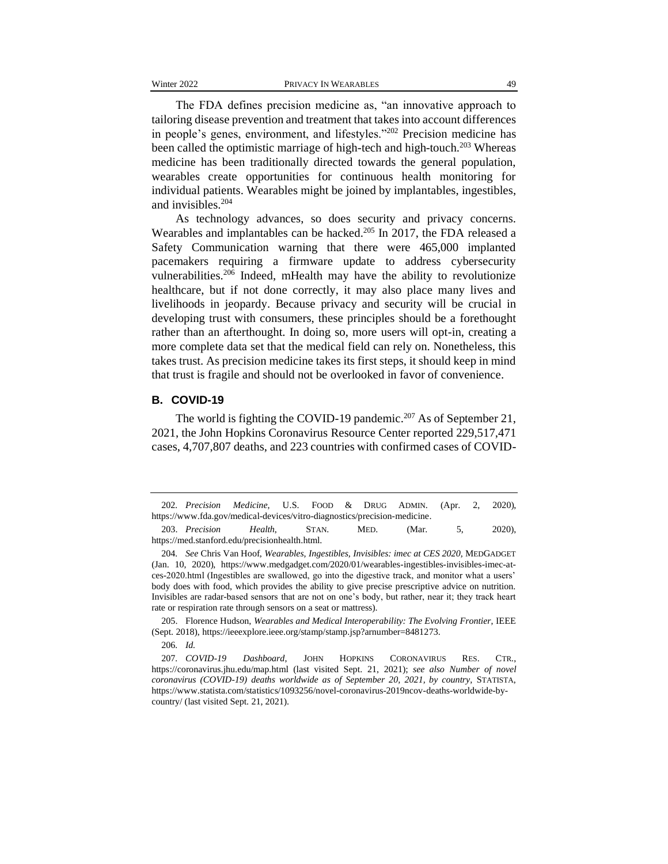The FDA defines precision medicine as, "an innovative approach to tailoring disease prevention and treatment that takes into account differences in people's genes, environment, and lifestyles."<sup>202</sup> Precision medicine has been called the optimistic marriage of high-tech and high-touch.<sup>203</sup> Whereas medicine has been traditionally directed towards the general population, wearables create opportunities for continuous health monitoring for individual patients. Wearables might be joined by implantables, ingestibles, and invisibles.<sup>204</sup>

As technology advances, so does security and privacy concerns. Wearables and implantables can be hacked.<sup>205</sup> In 2017, the FDA released a Safety Communication warning that there were 465,000 implanted pacemakers requiring a firmware update to address cybersecurity vulnerabilities.<sup>206</sup> Indeed, mHealth may have the ability to revolutionize healthcare, but if not done correctly, it may also place many lives and livelihoods in jeopardy. Because privacy and security will be crucial in developing trust with consumers, these principles should be a forethought rather than an afterthought. In doing so, more users will opt-in, creating a more complete data set that the medical field can rely on. Nonetheless, this takes trust. As precision medicine takes its first steps, it should keep in mind that trust is fragile and should not be overlooked in favor of convenience.

#### **B. COVID-19**

The world is fighting the COVID-19 pandemic.<sup>207</sup> As of September 21, 2021, the John Hopkins Coronavirus Resource Center reported 229,517,471 cases, 4,707,807 deaths, and 223 countries with confirmed cases of COVID-

205. Florence Hudson, *Wearables and Medical Interoperability: The Evolving Frontier*, IEEE (Sept. 2018), https://ieeexplore.ieee.org/stamp/stamp.jsp?arnumber=8481273.

206*. Id.*

<sup>202</sup>*. Precision Medicine*, U.S. FOOD & DRUG ADMIN. (Apr. 2, 2020), https://www.fda.gov/medical-devices/vitro-diagnostics/precision-medicine. 203. *Precision Health*, STAN. MED. (Mar. 5, 2020),

https://med.stanford.edu/precisionhealth.html.

<sup>204</sup>*. See* Chris Van Hoof, *Wearables, Ingestibles, Invisibles: imec at CES 2020,* MEDGADGET (Jan. 10, 2020), https://www.medgadget.com/2020/01/wearables-ingestibles-invisibles-imec-atces-2020.html (Ingestibles are swallowed, go into the digestive track, and monitor what a users' body does with food, which provides the ability to give precise prescriptive advice on nutrition. Invisibles are radar-based sensors that are not on one's body, but rather, near it; they track heart rate or respiration rate through sensors on a seat or mattress).

<sup>207</sup>*. COVID-19 Dashboard*, JOHN HOPKINS CORONAVIRUS RES. CTR., https://coronavirus.jhu.edu/map.html (last visited Sept. 21, 2021); *see also Number of novel coronavirus (COVID-19) deaths worldwide as of September 20, 2021, by country, STATISTA,* https://www.statista.com/statistics/1093256/novel-coronavirus-2019ncov-deaths-worldwide-bycountry/ (last visited Sept. 21, 2021).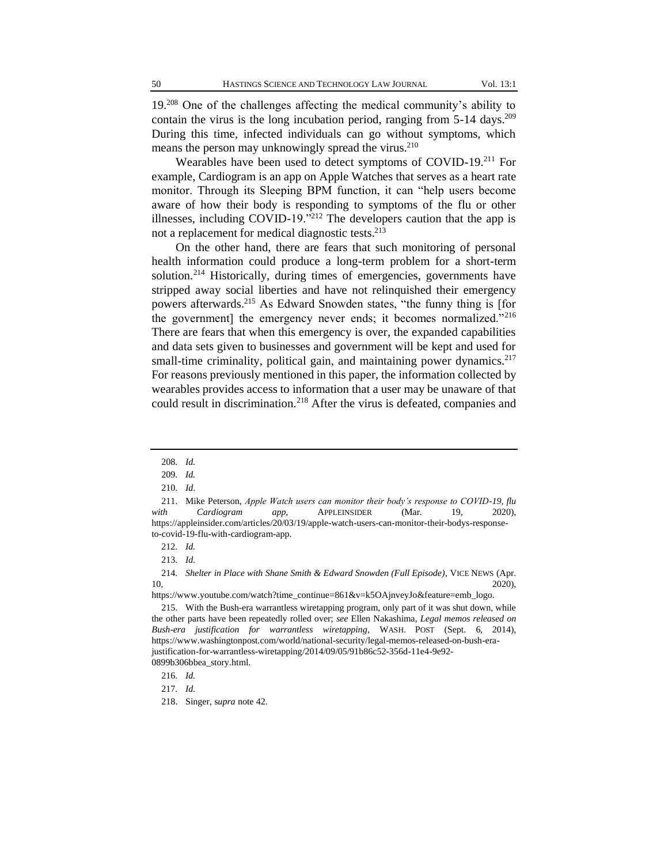19.<sup>208</sup> One of the challenges affecting the medical community's ability to contain the virus is the long incubation period, ranging from  $5-14$  days.<sup>209</sup> During this time, infected individuals can go without symptoms, which means the person may unknowingly spread the virus.<sup>210</sup>

Wearables have been used to detect symptoms of COVID-19.<sup>211</sup> For example, Cardiogram is an app on Apple Watches that serves as a heart rate monitor. Through its Sleeping BPM function, it can "help users become aware of how their body is responding to symptoms of the flu or other illnesses, including COVID-19. $\frac{1}{2}$ <sup>212</sup> The developers caution that the app is not a replacement for medical diagnostic tests.<sup>213</sup>

On the other hand, there are fears that such monitoring of personal health information could produce a long-term problem for a short-term solution.<sup>214</sup> Historically, during times of emergencies, governments have stripped away social liberties and have not relinquished their emergency powers afterwards.<sup>215</sup> As Edward Snowden states, "the funny thing is [for the government] the emergency never ends; it becomes normalized."<sup>216</sup> There are fears that when this emergency is over, the expanded capabilities and data sets given to businesses and government will be kept and used for small-time criminality, political gain, and maintaining power dynamics. $217$ For reasons previously mentioned in this paper, the information collected by wearables provides access to information that a user may be unaware of that could result in discrimination.<sup>218</sup> After the virus is defeated, companies and

https://www.youtube.com/watch?time\_continue=861&v=k5OAjnveyJo&feature=emb\_logo.

<sup>208</sup>*. Id.*

<sup>209</sup>*. Id.*

<sup>210</sup>*. Id*.

<sup>211.</sup> Mike Peterson, *Apple Watch users can monitor their body's response to COVID-19, flu*  with *Cardiogram app*, APPLEINSIDER (Mar. 19, 2020), https://appleinsider.com/articles/20/03/19/apple-watch-users-can-monitor-their-bodys-responseto-covid-19-flu-with-cardiogram-app.

<sup>212</sup>*. Id.* 

<sup>213</sup>*. Id.*

<sup>214</sup>*. Shelter in Place with Shane Smith & Edward Snowden (Full Episode)*, VICE NEWS (Apr. 10, 2020),

<sup>215.</sup> With the Bush-era warrantless wiretapping program, only part of it was shut down, while the other parts have been repeatedly rolled over; *see* Ellen Nakashima, *Legal memos released on Bush-era justification for warrantless wiretapping*, WASH. POST (Sept. 6, 2014), https://www.washingtonpost.com/world/national-security/legal-memos-released-on-bush-erajustification-for-warrantless-wiretapping/2014/09/05/91b86c52-356d-11e4-9e92- 0899b306bbea\_story.html.

<sup>216</sup>*. Id.*

<sup>217</sup>*. Id.*

<sup>218.</sup> Singer, s*upra* note 42.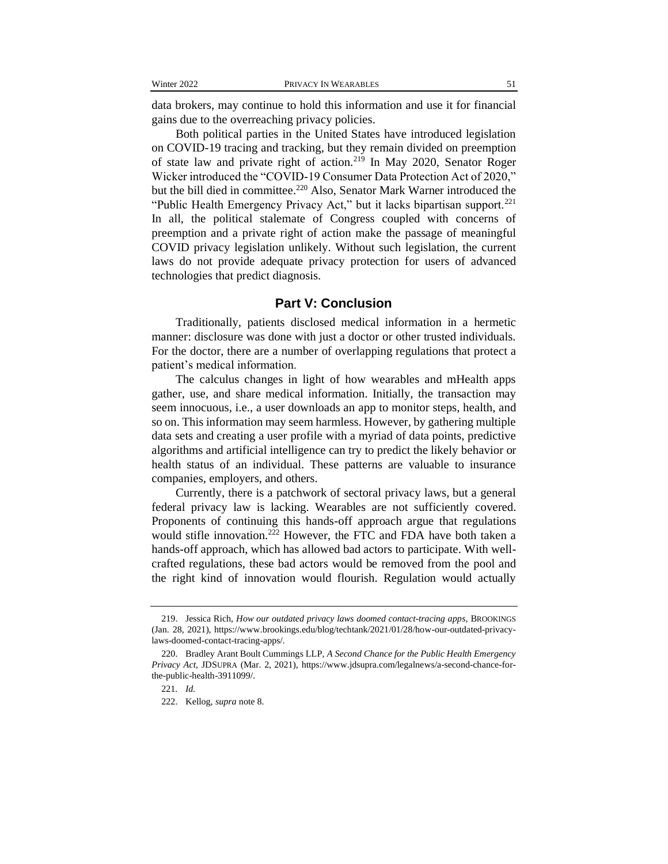data brokers, may continue to hold this information and use it for financial gains due to the overreaching privacy policies.

Both political parties in the United States have introduced legislation on COVID-19 tracing and tracking, but they remain divided on preemption of state law and private right of action.<sup>219</sup> In May 2020, Senator Roger Wicker introduced the "COVID-19 Consumer Data Protection Act of 2020," but the bill died in committee.<sup>220</sup> Also, Senator Mark Warner introduced the "Public Health Emergency Privacy Act," but it lacks bipartisan support.<sup>221</sup> In all, the political stalemate of Congress coupled with concerns of preemption and a private right of action make the passage of meaningful COVID privacy legislation unlikely. Without such legislation, the current laws do not provide adequate privacy protection for users of advanced technologies that predict diagnosis.

#### **Part V: Conclusion**

Traditionally, patients disclosed medical information in a hermetic manner: disclosure was done with just a doctor or other trusted individuals. For the doctor, there are a number of overlapping regulations that protect a patient's medical information.

The calculus changes in light of how wearables and mHealth apps gather, use, and share medical information. Initially, the transaction may seem innocuous, i.e., a user downloads an app to monitor steps, health, and so on. This information may seem harmless. However, by gathering multiple data sets and creating a user profile with a myriad of data points, predictive algorithms and artificial intelligence can try to predict the likely behavior or health status of an individual. These patterns are valuable to insurance companies, employers, and others.

Currently, there is a patchwork of sectoral privacy laws, but a general federal privacy law is lacking. Wearables are not sufficiently covered. Proponents of continuing this hands-off approach argue that regulations would stifle innovation.<sup>222</sup> However, the FTC and FDA have both taken a hands-off approach, which has allowed bad actors to participate. With wellcrafted regulations, these bad actors would be removed from the pool and the right kind of innovation would flourish. Regulation would actually

<sup>219.</sup> Jessica Rich, *How our outdated privacy laws doomed contact-tracing apps*, BROOKINGS (Jan. 28, 2021), https://www.brookings.edu/blog/techtank/2021/01/28/how-our-outdated-privacylaws-doomed-contact-tracing-apps/.

<sup>220.</sup> Bradley Arant Boult Cummings LLP, *A Second Chance for the Public Health Emergency Privacy Act*, JDSUPRA (Mar. 2, 2021), https://www.jdsupra.com/legalnews/a-second-chance-forthe-public-health-3911099/.

<sup>221</sup>*. Id.*

<sup>222.</sup> Kellog, *supra* note 8.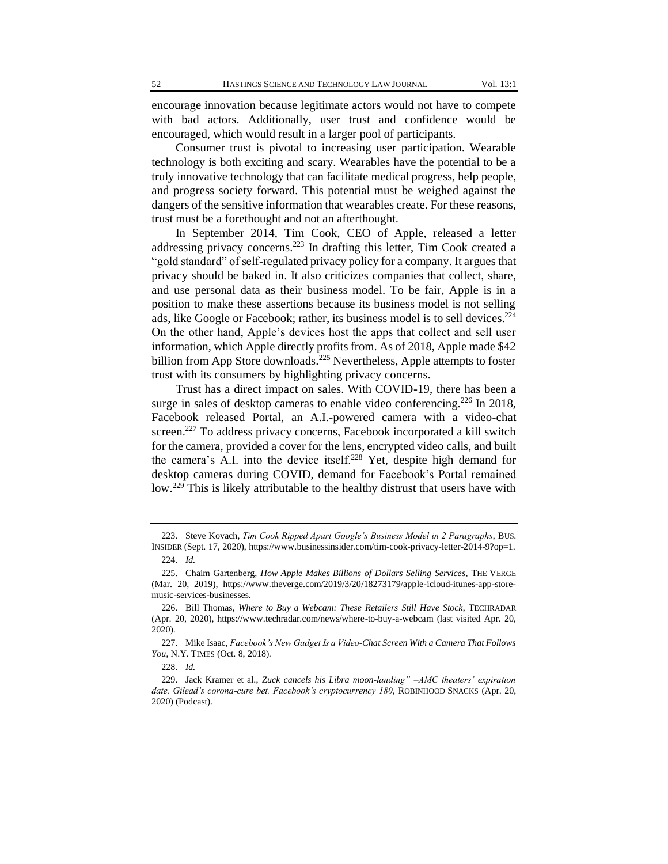encourage innovation because legitimate actors would not have to compete with bad actors. Additionally, user trust and confidence would be encouraged, which would result in a larger pool of participants.

Consumer trust is pivotal to increasing user participation. Wearable technology is both exciting and scary. Wearables have the potential to be a truly innovative technology that can facilitate medical progress, help people, and progress society forward. This potential must be weighed against the dangers of the sensitive information that wearables create. For these reasons, trust must be a forethought and not an afterthought.

In September 2014, Tim Cook, CEO of Apple, released a letter addressing privacy concerns.<sup>223</sup> In drafting this letter, Tim Cook created a "gold standard" of self-regulated privacy policy for a company. It argues that privacy should be baked in. It also criticizes companies that collect, share, and use personal data as their business model. To be fair, Apple is in a position to make these assertions because its business model is not selling ads, like Google or Facebook; rather, its business model is to sell devices.<sup>224</sup> On the other hand, Apple's devices host the apps that collect and sell user information, which Apple directly profits from. As of 2018, Apple made \$42 billion from App Store downloads.<sup>225</sup> Nevertheless, Apple attempts to foster trust with its consumers by highlighting privacy concerns.

Trust has a direct impact on sales. With COVID-19, there has been a surge in sales of desktop cameras to enable video conferencing.<sup>226</sup> In 2018, Facebook released Portal, an A.I.-powered camera with a video-chat screen.<sup>227</sup> To address privacy concerns, Facebook incorporated a kill switch for the camera, provided a cover for the lens, encrypted video calls, and built the camera's A.I. into the device itself.<sup>228</sup> Yet, despite high demand for desktop cameras during COVID, demand for Facebook's Portal remained low.<sup>229</sup> This is likely attributable to the healthy distrust that users have with

<sup>223.</sup> Steve Kovach, *Tim Cook Ripped Apart Google's Business Model in 2 Paragraphs*, BUS. INSIDER (Sept. 17, 2020), https://www.businessinsider.com/tim-cook-privacy-letter-2014-9?op=1. 224*. Id.*

<sup>225.</sup> Chaim Gartenberg, *How Apple Makes Billions of Dollars Selling Services*, THE VERGE (Mar. 20, 2019), https://www.theverge.com/2019/3/20/18273179/apple-icloud-itunes-app-storemusic-services-businesses.

<sup>226.</sup> Bill Thomas, *Where to Buy a Webcam: These Retailers Still Have Stock*, TECHRADAR (Apr. 20, 2020), https://www.techradar.com/news/where-to-buy-a-webcam (last visited Apr. 20, 2020).

<sup>227.</sup> Mike Isaac, *Facebook's New Gadget Is a Video-Chat Screen With a Camera That Follows You*, N.Y. TIMES (Oct. 8, 2018).

<sup>228</sup>*. Id.* 

<sup>229.</sup> Jack Kramer et al., *Zuck cancels his Libra moon-landing" –AMC theaters' expiration date. Gilead's corona-cure bet. Facebook's cryptocurrency 180*, ROBINHOOD SNACKS (Apr. 20, 2020) (Podcast).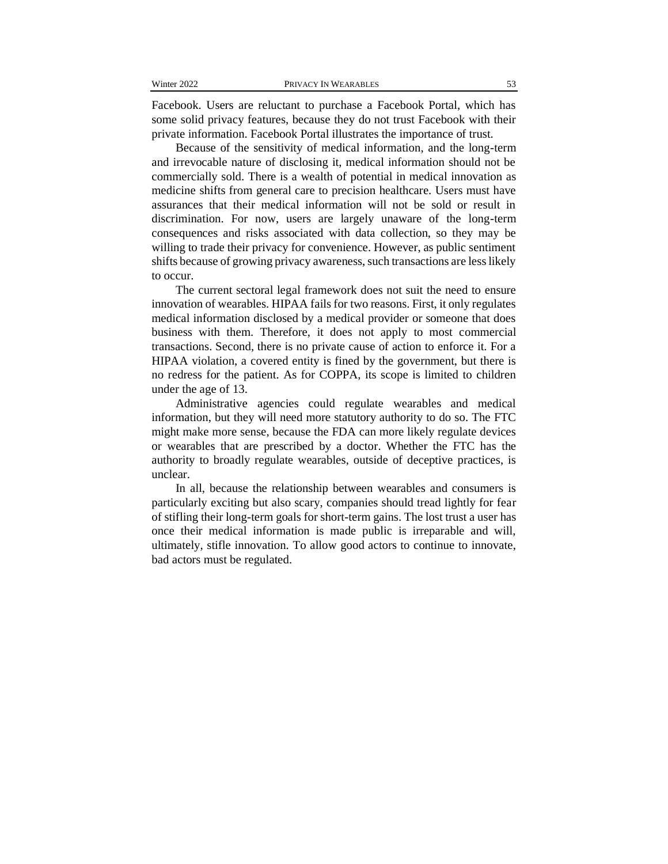Facebook. Users are reluctant to purchase a Facebook Portal, which has some solid privacy features, because they do not trust Facebook with their private information. Facebook Portal illustrates the importance of trust.

Because of the sensitivity of medical information, and the long-term and irrevocable nature of disclosing it, medical information should not be commercially sold. There is a wealth of potential in medical innovation as medicine shifts from general care to precision healthcare. Users must have assurances that their medical information will not be sold or result in discrimination. For now, users are largely unaware of the long-term consequences and risks associated with data collection, so they may be willing to trade their privacy for convenience. However, as public sentiment shifts because of growing privacy awareness, such transactions are less likely to occur.

The current sectoral legal framework does not suit the need to ensure innovation of wearables. HIPAA fails for two reasons. First, it only regulates medical information disclosed by a medical provider or someone that does business with them. Therefore, it does not apply to most commercial transactions. Second, there is no private cause of action to enforce it. For a HIPAA violation, a covered entity is fined by the government, but there is no redress for the patient. As for COPPA, its scope is limited to children under the age of 13.

Administrative agencies could regulate wearables and medical information, but they will need more statutory authority to do so. The FTC might make more sense, because the FDA can more likely regulate devices or wearables that are prescribed by a doctor. Whether the FTC has the authority to broadly regulate wearables, outside of deceptive practices, is unclear.

In all, because the relationship between wearables and consumers is particularly exciting but also scary, companies should tread lightly for fear of stifling their long-term goals for short-term gains. The lost trust a user has once their medical information is made public is irreparable and will, ultimately, stifle innovation. To allow good actors to continue to innovate, bad actors must be regulated.